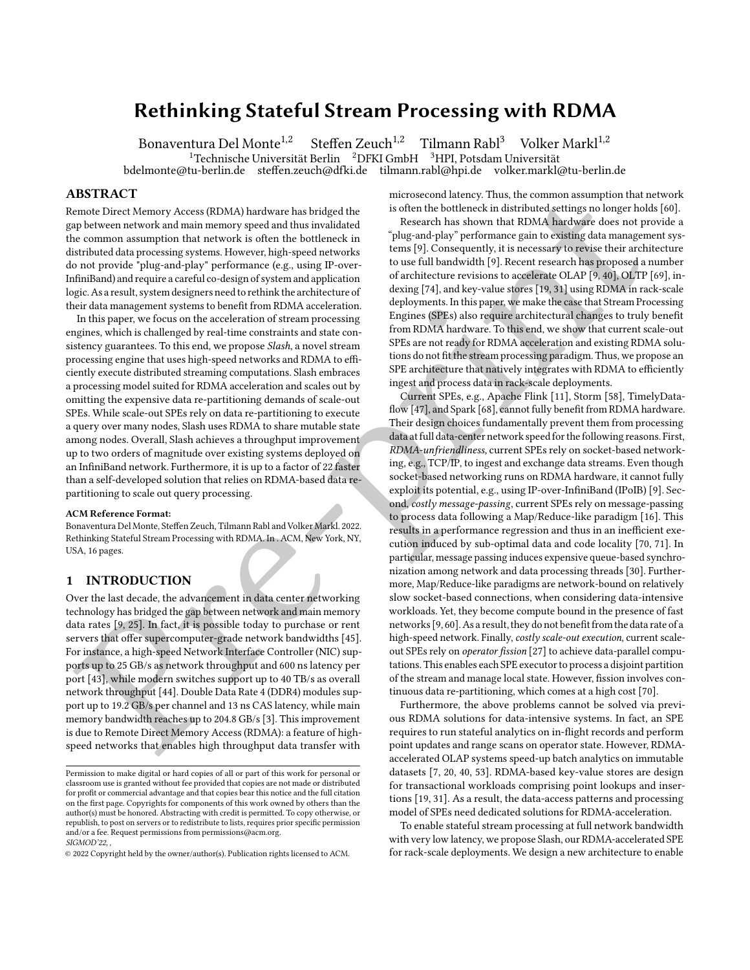# Rethinking Stateful Stream Processing with RDMA

Bonaventura Del Monte<sup>1,2</sup> Steffen Zeuch<sup>1,2</sup> Tilmann Rabl<sup>3</sup> Volker Markl<sup>1,2</sup> <sup>1</sup>Technische Universität Berlin <sup>2</sup>DFKI GmbH <sup>3</sup>HPI, Potsdam Universität<br>:u-berlin.de steffen.zeuch@dfki.de tilmann.rabl@hpi.de volker.markl@tu-berlin.de bdelmonte@tu-berlin.de steffen.zeuch@dfki.de tilmann.rabl@hpi.de

ABSTRACT

Remote Direct Memory Access (RDMA) hardware has bridged the gap between network and main memory speed and thus invalidated the common assumption that network is often the bottleneck in distributed data processing systems. However, high-speed networks do not provide "plug-and-play" performance (e.g., using IP-over-InfiniBand) and require a careful co-design of system and application logic. As a result, system designers need to rethink the architecture of their data management systems to benefit from RDMA acceleration.

In this paper, we focus on the acceleration of stream processing engines, which is challenged by real-time constraints and state consistency guarantees. To this end, we propose Slash, a novel stream processing engine that uses high-speed networks and RDMA to efficiently execute distributed streaming computations. Slash embraces a processing model suited for RDMA acceleration and scales out by omitting the expensive data re-partitioning demands of scale-out SPEs. While scale-out SPEs rely on data re-partitioning to execute a query over many nodes, Slash uses RDMA to share mutable state among nodes. Overall, Slash achieves a throughput improvement up to two orders of magnitude over existing systems deployed on an InfiniBand network. Furthermore, it is up to a factor of 22 faster than a self-developed solution that relies on RDMA-based data repartitioning to scale out query processing.

#### ACM Reference Format:

Bonaventura Del Monte, Steffen Zeuch, Tilmann Rabl and Volker Markl. 2022. Rethinking Stateful Stream Processing with RDMA. In . ACM, New York, NY, USA, 16 pages.

## 1 INTRODUCTION

Over the last decade, the advancement in data center networking technology has bridged the gap between network and main memory data rates [9, 25]. In fact, it is possible today to purchase or rent servers that offer supercomputer-grade network bandwidths [45]. For instance, a high-speed Network Interface Controller (NIC) supports up to 25 GB/s as network throughput and 600 ns latency per port [43], while modern switches support up to 40 TB/s as overall network throughput [44]. Double Data Rate 4 (DDR4) modules support up to 19.2 GB/s per channel and 13 ns CAS latency, while main memory bandwidth reaches up to 204.8 GB/s [3]. This improvement is due to Remote Direct Memory Access (RDMA): a feature of highspeed networks that enables high throughput data transfer with

microsecond latency. Thus, the common assumption that network is often the bottleneck in distributed settings no longer holds [\[60\]](#page-14-4).

Research has shown that RDMA hardware does not provide a "plug-and-play" performance gain to existing data management systems [9]. Consequently, it is necessary to revise their architecture to use full bandwidth [9]. Recent research has proposed a number of architecture revisions to accelerate OLAP [9, 40], OLTP [\[69\]](#page-15-1), indexing [74], and key-value stores [19, 31] using RDMA in rack-scale deployments. In this paper, we make the case that Stream Processing Engines (SPEs) also require architectural changes to truly benefit from RDMA hardware. To this end, we show that current scale-out SPEs are not ready for RDMA acceleration and existing RDMA solutions do not fit the stream processing paradigm. Thus, we propose an SPE architecture that natively integrates with RDMA to efficiently ingest and process data in rack-scale deployments.

IS IN RACINETY (INSA) harborse has bright due<br>to due in the forest measurement control in the state of the state in the state in the forest<br>[pr](#page-14-8)e-presentat[i](#page-15-3)o[n](#page-13-2) of [t](#page-14-5)he state in the state of the state in the state in the<br>state Current SPEs, e.g., Apache Flink [11], Storm [58], TimelyDataflow [47], and Spark [68], cannot fully benefit from RDMA hardware. Their design choices fundamentally prevent them from processing data at full data-center network speed for the following reasons. First, RDMA-unfriendliness, current SPEs rely on socket-based networking, e.g., TCP/IP, to ingest and exchange data streams. Even though socket-based networking runs on RDMA hardware, it cannot fully exploit its potential, e.g., using IP-over-InfiniBand (IPoIB) [\[9\]](#page-13-0). Second, costly message-passing, current SPEs rely on message-passing to process data following a Map/Reduce-like paradigm [\[16\]](#page-13-4). This results in a performance regression and thus in an inefficient execution induced by sub-optimal data and code locality [\[70,](#page-15-4) [71\]](#page-15-5). In particular, message passing induces expensive queue-based synchronization among network and data processing threads [30]. Furthermore, Map/Reduce-like paradigms are network-bound on relatively slow socket-based connections, when considering data-intensive workloads. Yet, they become compute bound in the presence of fast networks [9, 60].As a result, they do not benefit from the data rate of a high-speed network. Finally, costly scale-out execution, current scaleout SPEs rely on operator fission [27] to achieve data-parallel computations. This enables each SPE executor to process a disjoint partition of the stream and manage local state. However, fission involves continuous data re-partitioning, which comes at a high cost [\[70\]](#page-15-4).

Furthermore, the above problems cannot be solved via previous RDMA solutions for data-intensive systems. In fact, an SPE requires to run stateful analytics on in-flight records and perform point updates and range scans on operator state. However, RDMAaccelerated OLAP systems speed-up batch analytics on immutable datasets [\[7,](#page-13-5) [20,](#page-13-6) [40,](#page-14-5) [53\]](#page-14-11). RDMA-based key-value stores are design for transactional workloads comprising point lookups and insertions [\[19,](#page-13-2) [31\]](#page-14-6). As a result, the data-access patterns and processing model of SPEs need dedicated solutions for RDMA-acceleration.

To enable stateful stream processing at full network bandwidth with very low latency, we propose Slash, our RDMA-accelerated SPE for rack-scale deployments. We design a new architecture to enable

Permission to make digital or hard copies of all or part of this work for personal or classroom use is granted without fee provided that copies are not made or distributed for profit or commercial advantage and that copies bear this notice and the full citation on the first page. Copyrights for components of this work owned by others than the author(s) must be honored. Abstracting with credit is permitted. To copy otherwise, or republish, to post on servers or to redistribute to lists, requires prior specific permission and/or a fee. Request permissions from permissions@acm.org. SIGMOD'22.

<sup>©</sup> 2022 Copyright held by the owner/author(s). Publication rights licensed to ACM.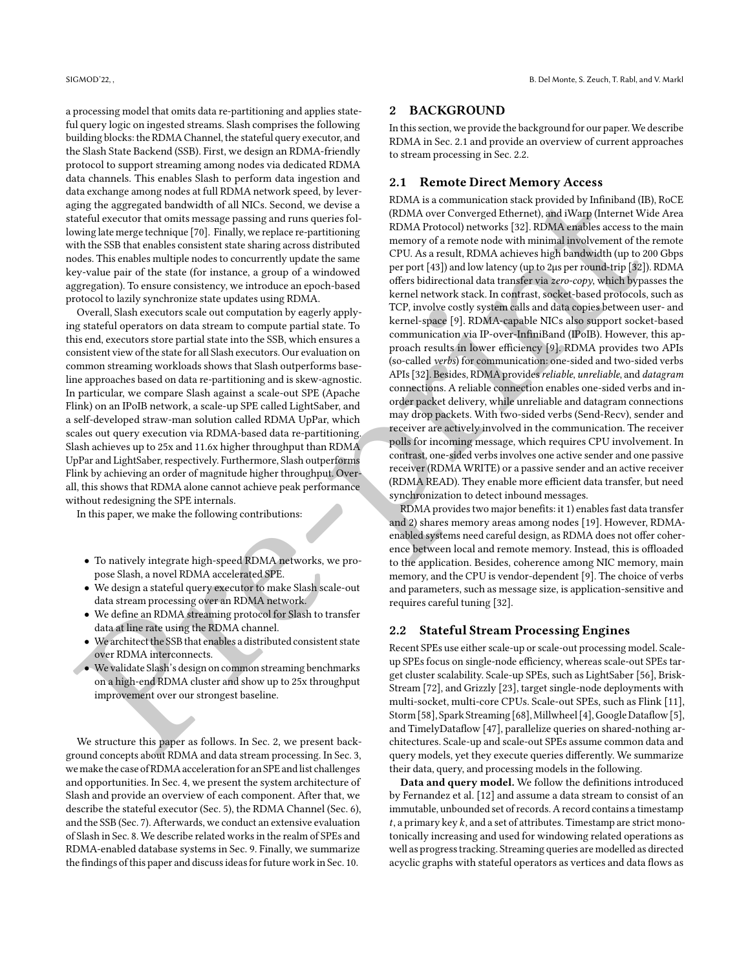a processing model that omits data re-partitioning and applies stateful query logic on ingested streams. Slash comprises the following building blocks: the RDMA Channel, the stateful query executor, and the Slash State Backend (SSB). First, we design an RDMA-friendly protocol to support streaming among nodes via dedicated RDMA data channels. This enables Slash to perform data ingestion and data exchange among nodes at full RDMA network speed, by leveraging the aggregated bandwidth of all NICs. Second, we devise a stateful executor that omits message passing and runs queries following late merge technique [70]. Finally, we replace re-partitioning with the SSB that enables consistent state sharing across distributed nodes. This enables multiple nodes to concurrently update the same key-value pair of the state (for instance, a group of a windowed aggregation). To ensure consistency, we introduce an epoch-based protocol to lazily synchronize state updates using RDMA.

Overall, Slash executors scale out computation by eagerly applying stateful operators on data stream to compute partial state. To this end, executors store partial state into the SSB, which ensures a consistent view of the state for all Slash executors. Our evaluation on common streaming workloads shows that Slash outperforms baseline approaches based on data re-partitioning and is skew-agnostic. In particular, we compare Slash against a scale-out SPE (Apache Flink) on an IPoIB network, a scale-up SPE called LightSaber, and a self-developed straw-man solution called RDMA UpPar, which scales out query execution via RDMA-based data re-partitioning. Slash achieves up to 25x and 11.6x higher throughput than RDMA UpPar and LightSaber, respectively. Furthermore, Slash outperforms Flink by achieving an order of magnitude higher throughput. Overall, this shows that RDMA alone cannot achieve peak performance without redesigning the SPE internals.

In this paper, we make the following contributions:

- To natively integrate high-speed RDMA networks, we propose Slash, a novel RDMA accelerated SPE.
- We design a stateful query executor to make Slash scale-out data stream processing over an RDMA network.
- We define an RDMA streaming protocol for Slash to transfer data at line rate using the RDMA channel.
- We architect the SSB that enables a distributed consistent state over RDMA interconnects.
- We validate Slash's design on common streaming benchmarks on a high-end RDMA cluster and show up to 25x throughput improvement over our strongest baseline.

We structure this paper as follows. In Sec. 2, we present background concepts about RDMA and data stream processing. In Sec. [3,](#page-2-0) we make the case of RDMA acceleration for an SPE and list challenges and opportunities. In Sec. [4,](#page-3-0) we present the system architecture of Slash and provide an overview of each component. After that, we describe the stateful executor (Sec. [5\)](#page-3-1), the RDMA Channel (Sec. [6\)](#page-4-0), and the SSB (Sec. [7\)](#page-5-0). Afterwards, we conduct an extensive evaluation of Slash in Sec. [8.](#page-7-0) We describe related works in the realm of SPEs and RDMA-enabled database systems in Sec. [9.](#page-12-0) Finally, we summarize the findings of this paper and discuss ideas for future work in Sec. [10.](#page-13-7)

#### <span id="page-1-0"></span>2 BACKGROUND

In this section, we provide the background for our paper.We describe RDMA in Sec. [2.1](#page-1-1) and provide an overview of current approaches to stream processing in Sec. [2.2.](#page-1-2)

## <span id="page-1-1"></span>2.1 Remote Direct Memory Access

For the sphere of the stre[n](#page-13-0)g[t](#page-14-12)henial disk can be a strengthenial disk can be a strengthenial disk can be a strengthenial disk can be a strengthenial disk can be a strengthenial disk can be a strengthenial disk can be a str RDMA is a communication stack provided by Infiniband (IB), RoCE (RDMA over Converged Ethernet), and iWarp (Internet Wide Area RDMA Protocol) networks [32]. RDMA enables access to the main memory of a remote node with minimal involvement of the remote CPU. As a result, RDMA achieves high bandwidth (up to 200 Gbps per port [43]) and low latency (up to 2µs per round-trip [32]). RDMA offers bidirectional data transfer via zero-copy, which bypasses the kernel network stack. In contrast, socket-based protocols, such as TCP, involve costly system calls and data copies between user- and kernel-space [9]. RDMA-capable NICs also support socket-based communication via IP-over-InfiniBand (IPoIB). However, this approach results in lower efficiency [9]. RDMA provides two APIs (so-called verbs) for communication: one-sided and two-sided verbs APIs [32]. Besides, RDMA provides reliable, unreliable, and datagram connections. A reliable connection enables one-sided verbs and inorder packet delivery, while unreliable and datagram connections may drop packets. With two-sided verbs (Send-Recv), sender and receiver are actively involved in the communication. The receiver polls for incoming message, which requires CPU involvement. In contrast, one-sided verbs involves one active sender and one passive receiver (RDMA WRITE) or a passive sender and an active receiver (RDMA READ). They enable more efficient data transfer, but need synchronization to detect inbound messages.

RDMA provides two major benefits: it 1) enables fast data transfer and 2) shares memory areas among nodes [19]. However, RDMAenabled systems need careful design, as RDMA does not offer coherence between local and remote memory. Instead, this is offloaded to the application. Besides, coherence among NIC memory, main memory, and the CPU is vendor-dependent [9]. The choice of verbs and parameters, such as message size, is application-sensitive and requires careful tuning [32].

### <span id="page-1-2"></span>2.2 Stateful Stream Processing Engines

Recent SPEs use either scale-up or scale-out processing model. Scaleup SPEs focus on single-node efficiency, whereas scale-out SPEs target cluster scalability. Scale-up SPEs, such as LightSaber [\[56\]](#page-14-13), Brisk-Stream [72], and Grizzly [23], target single-node deployments with multi-socket, multi-core CPUs. Scale-out SPEs, such as Flink [\[11\]](#page-13-3), Storm [58], Spark Streaming [68],Millwheel [4],Google Dataflow [\[5\]](#page-13-9), and TimelyDataflow [47], parallelize queries on shared-nothing architectures. Scale-up and scale-out SPEs assume common data and query models, yet they execute queries differently. We summarize their data, query, and processing models in the following.

Data and query model. We follow the definitions introduced by Fernandez et al. [\[12\]](#page-13-10) and assume a data stream to consist of an immutable, unbounded set of records. A record contains a timestamp  $t$ , a primary key  $k$ , and a set of attributes. Timestamp are strict monotonically increasing and used for windowing related operations as well as progress tracking. Streaming queries are modelled as directed acyclic graphs with stateful operators as vertices and data flows as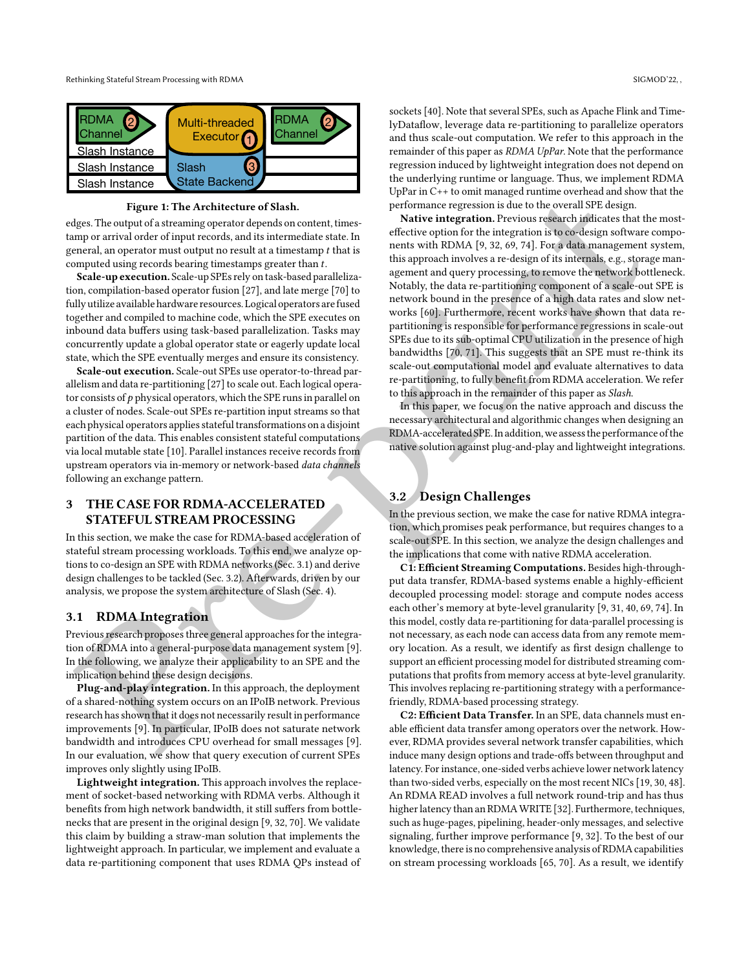<span id="page-2-3"></span>

Figure 1: The Architecture of Slash.

edges. The output of a streaming operator depends on content, timestamp or arrival order of input records, and its intermediate state. In general, an operator must output no result at a timestamp  $t$  that is computed using records bearing timestamps greater than  $t$ .

Scale-up execution. Scale-up SPEs rely on task-based parallelization, compilation-based operator fusion [27], and late merge [70] to fully utilize available hardware resources. Logical operators are fused together and compiled to machine code, which the SPE executes on inbound data buffers using task-based parallelization. Tasks may concurrently update a global operator state or eagerly update local state, which the SPE eventually merges and ensure its consistency.

Scale-out execution. Scale-out SPEs use operator-to-thread parallelism and data re-partitioning [27] to scale out. Each logical operator consists of  $p$  physical operators, which the SPE runs in parallel on a cluster of nodes. Scale-out SPEs re-partition input streams so that each physical operators applies stateful transformations on a disjoint partition of the data. This enables consistent stateful computations via local mutable state [10]. Parallel instances receive records from upstream operators via in-memory or network-based data channels following an exchange pattern.

# <span id="page-2-0"></span>3 THE CASE FOR RDMA-ACCELERATED STATEFUL STREAM PROCESSING

In this section, we make the case for RDMA-based acceleration of stateful stream processing workloads. To this end, we analyze options to co-design an SPE with RDMA networks (Sec. 3.1) and derive design challenges to be tackled (Sec. 3.2). Afterwards, driven by our analysis, we propose the system architecture of Slash (Sec. 4).

## <span id="page-2-1"></span>3.1 RDMA Integration

Previous research proposes three general approaches for the integration of RDMA into a general-purpose data management system [9]. In the following, we analyze their applicability to an SPE and the implication behind these design decisions.

Plug-and-play integration. In this approach, the deployment of a shared-nothing system occurs on an IPoIB network. Previous research has shown that it does not necessarily result in performance improvements [9]. In particular, IPoIB does not saturate network bandwidth and introduces CPU overhead for small messages [9]. In our evaluation, we show that query execution of current SPEs improves only slightly using IPoIB.

Lightweight integration. This approach involves the replacement of socket-based networking with RDMA verbs. Although it benefits from high network bandwidth, it still suffers from bottlenecks that are present in the original design [\[9,](#page-13-0) [32,](#page-14-12) [70\]](#page-15-4). We validate this claim by building a straw-man solution that implements the lightweight approach. In particular, we implement and evaluate a data re-partitioning component that uses RDMA QPs instead of

sockets [\[40\]](#page-14-5). Note that several SPEs, such as Apache Flink and TimelyDataflow, leverage data re-partitioning to parallelize operators and thus scale-out computation. We refer to this approach in the remainder of this paper as RDMA UpPar. Note that the performance regression induced by lightweight integration does not depend on the underlying runtime or language. Thus, we implement RDMA UpPar in C++ to omit managed runtime overhead and show that the performance regression is due to the overall SPE design.

**[P](#page-13-0)[r](#page-2-2)opos[e](#page-2-1) 1: The Arch[i](#page-15-4)[t](#page-15-2)ecture of Stabs.**<br> **Propose The Contract Contract Contract Contract Contract Contract Contract Contract Contract Contract Contract Contract Contract Contract Contract Contract Contract Contract Contr** Native integration. Previous research indicates that the mosteffective option for the integration is to co-design software components with RDMA [9, 32, 69, 74]. For a data management system, this approach involves a re-design of its internals, e.g., storage management and query processing, to remove the network bottleneck. Notably, the data re-partitioning component of a scale-out SPE is network bound in the presence of a high data rates and slow networks [60]. Furthermore, recent works have shown that data repartitioning is responsible for performance regressions in scale-out SPEs due to its sub-optimal CPU utilization in the presence of high bandwidths [70, 71]. This suggests that an SPE must re-think its scale-out computational model and evaluate alternatives to data re-partitioning, to fully benefit from RDMA acceleration. We refer to this approach in the remainder of this paper as Slash.

In this paper, we focus on the native approach and discuss the necessary architectural and algorithmic changes when designing an RDMA-accelerated SPE.In addition, we assess the performance of the native solution against plug-and-play and lightweight integrations.

# <span id="page-2-2"></span>3.2 Design Challenges

In the previous section, we make the case for native RDMA integration, which promises peak performance, but requires changes to a scale-out SPE. In this section, we analyze the design challenges and the implications that come with native RDMA acceleration.

C1: Efficient Streaming Computations. Besides high-throughput data transfer, RDMA-based systems enable a highly-efficient decoupled processing model: storage and compute nodes access each other's memory at byte-level granularity [9, 31, 40, [69,](#page-15-1) [74\]](#page-15-2). In this model, costly data re-partitioning for data-parallel processing is not necessary, as each node can access data from any remote memory location. As a result, we identify as first design challenge to support an efficient processing model for distributed streaming computations that profits from memory access at byte-level granularity. This involves replacing re-partitioning strategy with a performancefriendly, RDMA-based processing strategy.

C2: Efficient Data Transfer. In an SPE, data channels must enable efficient data transfer among operators over the network. However, RDMA provides several network transfer capabilities, which induce many design options and trade-offs between throughput and latency. For instance, one-sided verbs achieve lower network latency than two-sided verbs, especially on the most recent NICs [\[19,](#page-13-2) [30,](#page-14-9) [48\]](#page-14-15). An RDMA READ involves a full network round-trip and has thus higher latency than an RDMAWRITE [\[32\]](#page-14-12). Furthermore, techniques, such as huge-pages, pipelining, header-only messages, and selective signaling, further improve performance [\[9,](#page-13-0) [32\]](#page-14-12). To the best of our knowledge, there is no comprehensive analysis of RDMA capabilities on stream processing workloads [\[65,](#page-15-7) [70\]](#page-15-4). As a result, we identify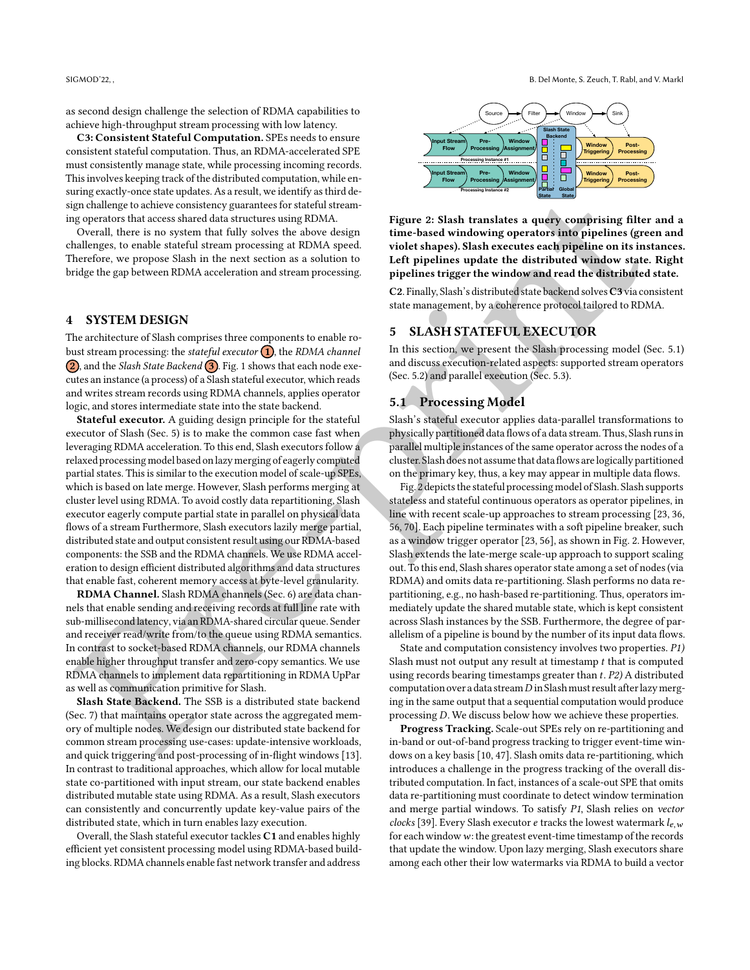as second design challenge the selection of RDMA capabilities to achieve high-throughput stream processing with low latency.

C3: Consistent Stateful Computation. SPEs needs to ensure consistent stateful computation. Thus, an RDMA-accelerated SPE must consistently manage state, while processing incoming records. This involves keeping track of the distributed computation, while ensuring exactly-once state updates. As a result, we identify as third design challenge to achieve consistency guarantees for stateful streaming operators that access shared data structures using RDMA.

Overall, there is no system that fully solves the above design challenges, to enable stateful stream processing at RDMA speed. Therefore, we propose Slash in the next section as a solution to bridge the gap between RDMA acceleration and stream processing.

#### <span id="page-3-0"></span>4 SYSTEM DESIGN

The architecture of Slash comprises three components to enable robust stream processing: the *stateful executor*  $\left( \frac{1}{n} \right)$ , the *RDMA channel* (2), and the *Slash State Backend* (3). Fig. 1 shows that each node executes an instance (a process) of a Slash stateful executor, which reads and writes stream records using RDMA channels, applies operator logic, and stores intermediate state into the state backend.

ar[e](#page-4-0) the same of the same of the same of the same of the same of the same of the same of the same of the same of the same of the same of the same of the same of the same of the same of the same of the same of the same of t Stateful executor. A guiding design principle for the stateful executor of Slash (Sec. 5) is to make the common case fast when leveraging RDMA acceleration. To this end, Slash executors follow a relaxed processing model based on lazy merging of eagerly computed partial states. This is similar to the execution model of scale-up SPEs, which is based on late merge. However, Slash performs merging at cluster level using RDMA. To avoid costly data repartitioning, Slash executor eagerly compute partial state in parallel on physical data flows of a stream Furthermore, Slash executors lazily merge partial, distributed state and output consistent result using our RDMA-based components: the SSB and the RDMA channels. We use RDMA acceleration to design efficient distributed algorithms and data structures that enable fast, coherent memory access at byte-level granularity.

RDMA Channel. Slash RDMA channels (Sec. 6) are data channels that enable sending and receiving records at full line rate with sub-millisecond latency, via an RDMA-shared circular queue. Sender and receiver read/write from/to the queue using RDMA semantics. In contrast to socket-based RDMA channels, our RDMA channels enable higher throughput transfer and zero-copy semantics. We use RDMA channels to implement data repartitioning in RDMA UpPar as well as communication primitive for Slash.

Slash State Backend. The SSB is a distributed state backend (Sec. 7) that maintains operator state across the aggregated memory of multiple nodes. We design our distributed state backend for common stream processing use-cases: update-intensive workloads, and quick triggering and post-processing of in-flight windows [\[13\]](#page-13-12). In contrast to traditional approaches, which allow for local mutable state co-partitioned with input stream, our state backend enables distributed mutable state using RDMA. As a result, Slash executors can consistently and concurrently update key-value pairs of the distributed state, which in turn enables lazy execution.

Overall, the Slash stateful executor tackles C1 and enables highly efficient yet consistent processing model using RDMA-based building blocks. RDMA channels enable fast network transfer and address

<span id="page-3-3"></span>

Figure 2: Slash translates a query comprising filter and a time-based windowing operators into pipelines (green and violet shapes). Slash executes each pipeline on its instances. Left pipelines update the distributed window state. Right pipelines trigger the window and read the distributed state.

C2. Finally, Slash's distributed state backend solves C3 via consistent state management, by a coherence protocol tailored to RDMA.

## <span id="page-3-1"></span>5 SLASH STATEFUL EXECUTOR

In this section, we present the Slash processing model (Sec. [5.1\)](#page-3-2) and discuss execution-related aspects: supported stream operators (Sec. 5.2) and parallel execution (Sec. 5.3).

# <span id="page-3-2"></span>5.1 Processing Model

Slash's stateful executor applies data-parallel transformations to physically partitioned data flows of a data stream. Thus, Slash runs in parallel multiple instances of the same operator across the nodes of a cluster. Slash does not assume that data flows arelogically partitioned on the primary key, thus, a key may appear in multiple data flows.

Fig. 2 depicts the stateful processing model of Slash. Slash supports stateless and stateful continuous operators as operator pipelines, in line with recent scale-up approaches to stream processing [\[23,](#page-14-14) [36,](#page-14-16) 56, 70]. Each pipeline terminates with a soft pipeline breaker, such as a window trigger operator [23, 56], as shown in Fig. 2. However, Slash extends the late-merge scale-up approach to support scaling out. To this end, Slash shares operator state among a set of nodes (via RDMA) and omits data re-partitioning. Slash performs no data repartitioning, e.g., no hash-based re-partitioning. Thus, operators immediately update the shared mutable state, which is kept consistent across Slash instances by the SSB. Furthermore, the degree of parallelism of a pipeline is bound by the number of its input data flows.

State and computation consistency involves two properties. P1) Slash must not output any result at timestamp  $t$  that is computed using records bearing timestamps greater than  $t$ .  $P2$ ) A distributed computation over a data stream  $D$  in Slash must result after lazy merging in the same output that a sequential computation would produce processing  $D$ . We discuss below how we achieve these properties.

Progress Tracking. Scale-out SPEs rely on re-partitioning and in-band or out-of-band progress tracking to trigger event-time windows on a key basis [\[10,](#page-13-11) [47\]](#page-14-8). Slash omits data re-partitioning, which introduces a challenge in the progress tracking of the overall distributed computation. In fact, instances of a scale-out SPE that omits data re-partitioning must coordinate to detect window termination and merge partial windows. To satisfy P1, Slash relies on vector clocks [\[39\]](#page-14-17). Every Slash executor e tracks the lowest watermark  $l_{e,w}$ for each window  $w$ : the greatest event-time timestamp of the records that update the window. Upon lazy merging, Slash executors share among each other their low watermarks via RDMA to build a vector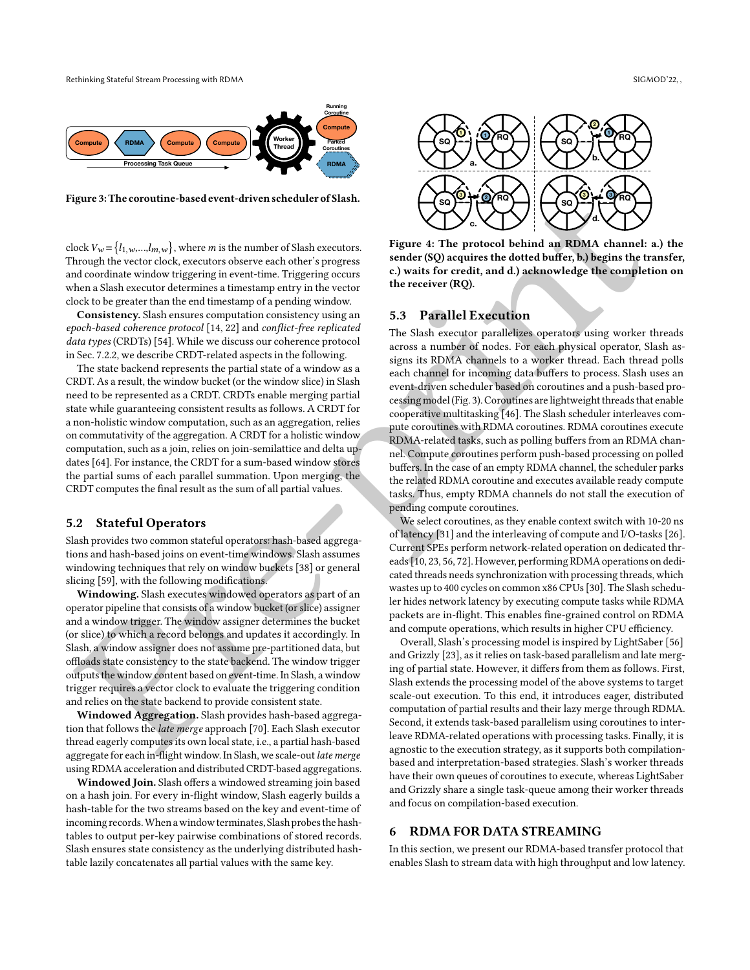<span id="page-4-3"></span>**RDMA Worker Thread Compute Processing Task Que Running Coroutine Compute RDMA Compute Compute RDMA Parked Coroutines**

Figure 3: The coroutine-based event-driven scheduler of Slash.

clock  $V_w = \{l_{1,w},...,l_{m,w}\}\$ , where *m* is the number of Slash executors. Through the vector clock, executors observe each other's progress and coordinate window triggering in event-time. Triggering occurs when a Slash executor determines a timestamp entry in the vector clock to be greater than the end timestamp of a pending window.

Consistency. Slash ensures computation consistency using an epoch-based coherence protocol [14, 22] and conflict-free replicated data types (CRDTs) [54]. While we discuss our coherence protocol in Sec. 7.2.2, we describe CRDT-related aspects in the following.

The state backend represents the partial state of a window as a CRDT. As a result, the window bucket (or the window slice) in Slash need to be represented as a CRDT. CRDTs enable merging partial state while guaranteeing consistent results as follows. A CRDT for a non-holistic window computation, such as an aggregation, relies on commutativity of the aggregation. A CRDT for a holistic window computation, such as a join, relies on join-semilattice and delta updates [64]. For instance, the CRDT for a sum-based window stores the partial sums of each parallel summation. Upon merging, the CRDT computes the final result as the sum of all partial values.

#### <span id="page-4-1"></span>5.2 Stateful Operators

Slash provides two common stateful operators: hash-based aggregations and hash-based joins on event-time windows. Slash assumes windowing techniques that rely on window buckets [38] or general slicing [59], with the following modifications.

Windowing. Slash executes windowed operators as part of an operator pipeline that consists of a window bucket (or slice) assigner and a window trigger. The window assigner determines the bucket (or slice) to which a record belongs and updates it accordingly. In Slash, a window assigner does not assume pre-partitioned data, but offloads state consistency to the state backend. The window trigger outputs the window content based on event-time. In Slash, a window trigger requires a vector clock to evaluate the triggering condition and relies on the state backend to provide consistent state.

Windowed Aggregation. Slash provides hash-based aggregation that follows the late merge approach [70]. Each Slash executor thread eagerly computes its own local state, i.e., a partial hash-based aggregate for each in-flight window. In Slash, we scale-out late merge using RDMA acceleration and distributed CRDT-based aggregations.

Windowed Join. Slash offers a windowed streaming join based on a hash join. For every in-flight window, Slash eagerly builds a hash-table for the two streams based on the key and event-time of incoming records.When a window terminates, Slash probes the hashtables to output per-key pairwise combinations of stored records. Slash ensures state consistency as the underlying distributed hashtable lazily concatenates all partial values with the same key.

<span id="page-4-4"></span>

Figure 4: The protocol behind an RDMA channel: a.) the sender (SQ) acquires the dotted buffer, b.) begins the transfer, c.) waits for credit, and d.) acknowledge the completion on the receiver (RQ).

## <span id="page-4-2"></span>5.3 Parallel Execution

ign[e](#page-14-20)rs. The coronative based event driven scheduler of Slash.<br>
Consider a consider the [p](#page-14-6)rotocol behind an RIMA channels in the coronation of the coronation of the coronation of the coronation of the coronation of the coro The Slash executor parallelizes operators using worker threads across a number of nodes. For each physical operator, Slash assigns its RDMA channels to a worker thread. Each thread polls each channel for incoming data buffers to process. Slash uses an event-driven scheduler based on coroutines and a push-based processing model(Fig. 3). Coroutines are lightweight threads that enable cooperative multitasking [46]. The Slash scheduler interleaves compute coroutines with RDMA coroutines. RDMA coroutines execute RDMA-related tasks, such as polling buffers from an RDMA channel. Compute coroutines perform push-based processing on polled buffers. In the case of an empty RDMA channel, the scheduler parks the related RDMA coroutine and executes available ready compute tasks. Thus, empty RDMA channels do not stall the execution of pending compute coroutines.

We select coroutines, as they enable context switch with 10-20 ns of latency [31] and the interleaving of compute and I/O-tasks [\[26\]](#page-14-23). Current SPEs perform network-related operation on dedicated threads [10, 23, 56, 72]. However, performing RDMA operations on dedicated threads needs synchronization with processing threads, which wastes up to 400 cycles on common x86 CPUs [30]. The Slash scheduler hides network latency by executing compute tasks while RDMA packets are in-flight. This enables fine-grained control on RDMA and compute operations, which results in higher CPU efficiency.

Overall, Slash's processing model is inspired by LightSaber [\[56\]](#page-14-13) and Grizzly [23], as it relies on task-based parallelism and late merging of partial state. However, it differs from them as follows. First, Slash extends the processing model of the above systems to target scale-out execution. To this end, it introduces eager, distributed computation of partial results and their lazy merge through RDMA. Second, it extends task-based parallelism using coroutines to interleave RDMA-related operations with processing tasks. Finally, it is agnostic to the execution strategy, as it supports both compilationbased and interpretation-based strategies. Slash's worker threads have their own queues of coroutines to execute, whereas LightSaber and Grizzly share a single task-queue among their worker threads and focus on compilation-based execution.

## <span id="page-4-0"></span>6 RDMA FOR DATA STREAMING

In this section, we present our RDMA-based transfer protocol that enables Slash to stream data with high throughput and low latency.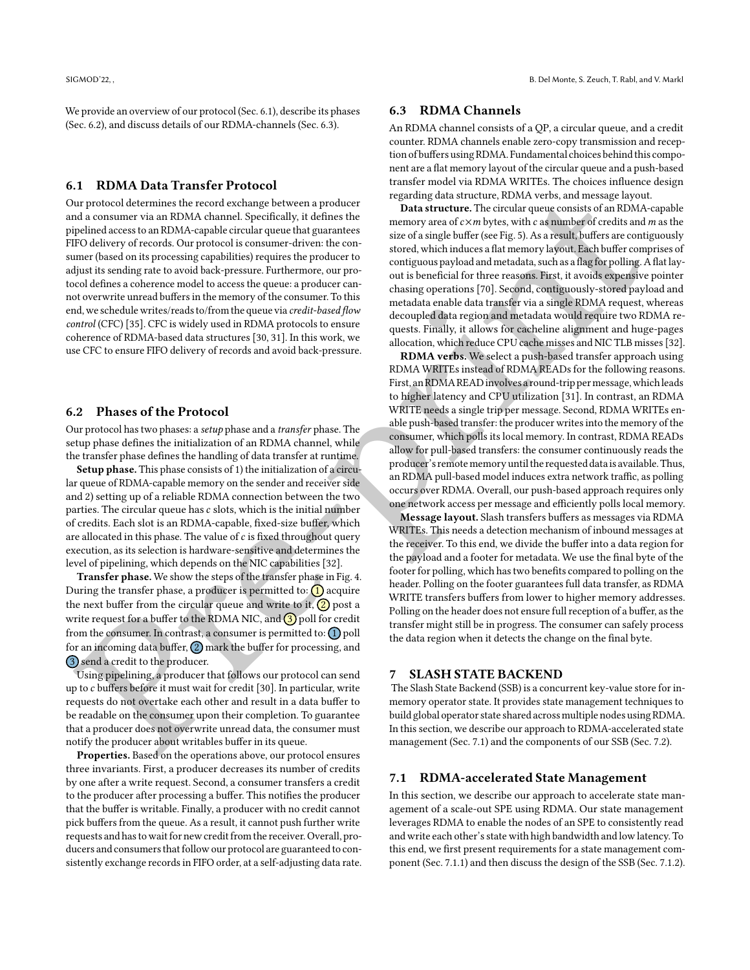We provide an overview of our protocol (Sec. [6.1\)](#page-5-1), describe its phases (Sec. [6.2\)](#page-5-2), and discuss details of our RDMA-channels (Sec. [6.3\)](#page-5-3).

#### <span id="page-5-1"></span>6.1 RDMA Data Transfer Protocol

Inc[r](#page-14-9)[e](#page-14-12)ase of the Pre-rock exchange between growtone<br>
Increase the main strain, the stationary increases the main strain of the stationary increases to an EDMA-ca[p](#page-14-12)ital strai[n](#page-15-4) means the stationary increases to an EDMA-capita Our protocol determines the record exchange between a producer and a consumer via an RDMA channel. Specifically, it defines the pipelined access to an RDMA-capable circular queue that guarantees FIFO delivery of records. Our protocol is consumer-driven: the consumer (based on its processing capabilities) requires the producer to adjust its sending rate to avoid back-pressure. Furthermore, our protocol defines a coherence model to access the queue: a producer cannot overwrite unread buffers in the memory of the consumer. To this end, we schedule writes/reads to/from the queue via credit-based flow control (CFC) [35]. CFC is widely used in RDMA protocols to ensure coherence of RDMA-based data structures [30, 31]. In this work, we use CFC to ensure FIFO delivery of records and avoid back-pressure.

### <span id="page-5-2"></span>6.2 Phases of the Protocol

Our protocol has two phases: a setup phase and a transfer phase. The setup phase defines the initialization of an RDMA channel, while the transfer phase defines the handling of data transfer at runtime.

Setup phase. This phase consists of 1) the initialization of a circular queue of RDMA-capable memory on the sender and receiver side and 2) setting up of a reliable RDMA connection between the two parties. The circular queue has  $c$  slots, which is the initial number of credits. Each slot is an RDMA-capable, fixed-size buffer, which are allocated in this phase. The value of  $c$  is fixed throughout query execution, as its selection is hardware-sensitive and determines the level of pipelining, which depends on the NIC capabilities [32].

Transfer phase. We show the steps of the transfer phase in Fig. 4. During the transfer phase, a producer is permitted to:  $\left( \frac{1}{1} \right)$  acquire the next buffer from the circular queue and write to it,  $\left(2\right)$  post a write request for a buffer to the RDMA NIC, and  $\bigcirc$  poll for credit from the consumer. In contrast, a consumer is permitted to:  $\Omega$  poll for an incoming data buffer,  $(2)$  mark the buffer for processing, and 3 send a credit to the producer.

Using pipelining, a producer that follows our protocol can send up to  $c$  buffers before it must wait for credit [30]. In particular, write requests do not overtake each other and result in a data buffer to be readable on the consumer upon their completion. To guarantee that a producer does not overwrite unread data, the consumer must notify the producer about writables buffer in its queue.

Properties. Based on the operations above, our protocol ensures three invariants. First, a producer decreases its number of credits by one after a write request. Second, a consumer transfers a credit to the producer after processing a buffer. This notifies the producer that the buffer is writable. Finally, a producer with no credit cannot pick buffers from the queue. As a result, it cannot push further write requests and has to wait for new credit from the receiver. Overall, producers and consumers that follow our protocol are guaranteed to consistently exchange records in FIFO order, at a self-adjusting data rate.

#### <span id="page-5-3"></span>6.3 RDMA Channels

An RDMA channel consists of a QP, a circular queue, and a credit counter. RDMA channels enable zero-copy transmission and reception of buffers using RDMA. Fundamental choices behind this component are a flat memory layout of the circular queue and a push-based transfer model via RDMA WRITEs. The choices influence design regarding data structure, RDMA verbs, and message layout.

Data structure. The circular queue consists of an RDMA-capable memory area of  $c \times m$  bytes, with  $c$  as number of credits and  $m$  as the size of a single buffer (see Fig. 5). As a result, buffers are contiguously stored, which induces a flat memory layout. Each buffer comprises of contiguous payload and metadata, such as a flag for polling. A flat layout is beneficial for three reasons. First, it avoids expensive pointer chasing operations [70]. Second, contiguously-stored payload and metadata enable data transfer via a single RDMA request, whereas decoupled data region and metadata would require two RDMA requests. Finally, it allows for cacheline alignment and huge-pages allocation, which reduce CPU cache misses and NIC TLB misses [\[32\]](#page-14-12).

RDMA verbs. We select a push-based transfer approach using RDMA WRITEs instead of RDMA READs for the following reasons. First, an RDMA READinvolves a round-trip permessage, whichleads to higher latency and CPU utilization [31]. In contrast, an RDMA WRITE needs a single trip per message. Second, RDMA WRITEs enable push-based transfer: the producer writes into the memory of the consumer, which polls its local memory. In contrast, RDMA READs allow for pull-based transfers: the consumer continuously reads the producer's remote memory until the requested data is available. Thus, an RDMA pull-based model induces extra network traffic, as polling occurs over RDMA. Overall, our push-based approach requires only one network access per message and efficiently polls local memory.

Message layout. Slash transfers buffers as messages via RDMA WRITEs. This needs a detection mechanism of inbound messages at the receiver. To this end, we divide the buffer into a data region for the payload and a footer for metadata. We use the final byte of the footer for polling, which has two benefits compared to polling on the header. Polling on the footer guarantees full data transfer, as RDMA WRITE transfers buffers from lower to higher memory addresses. Polling on the header does not ensure full reception of a buffer, as the transfer might still be in progress. The consumer can safely process the data region when it detects the change on the final byte.

#### <span id="page-5-0"></span>7 SLASH STATE BACKEND

The Slash State Backend (SSB) is a concurrent key-value store for inmemory operator state. It provides state management techniques to build global operator state shared across multiple nodes using RDMA. In this section, we describe our approach to RDMA-accelerated state management (Sec. 7.1) and the components of our SSB (Sec. [7.2\)](#page-6-2).

#### <span id="page-5-4"></span>7.1 RDMA-accelerated State Management

In this section, we describe our approach to accelerate state management of a scale-out SPE using RDMA. Our state management leverages RDMA to enable the nodes of an SPE to consistently read and write each other's state with high bandwidth and low latency. To this end, we first present requirements for a state management component (Sec. [7.1.1\)](#page-6-3) and then discuss the design of the SSB (Sec. [7.1.2\)](#page-6-4).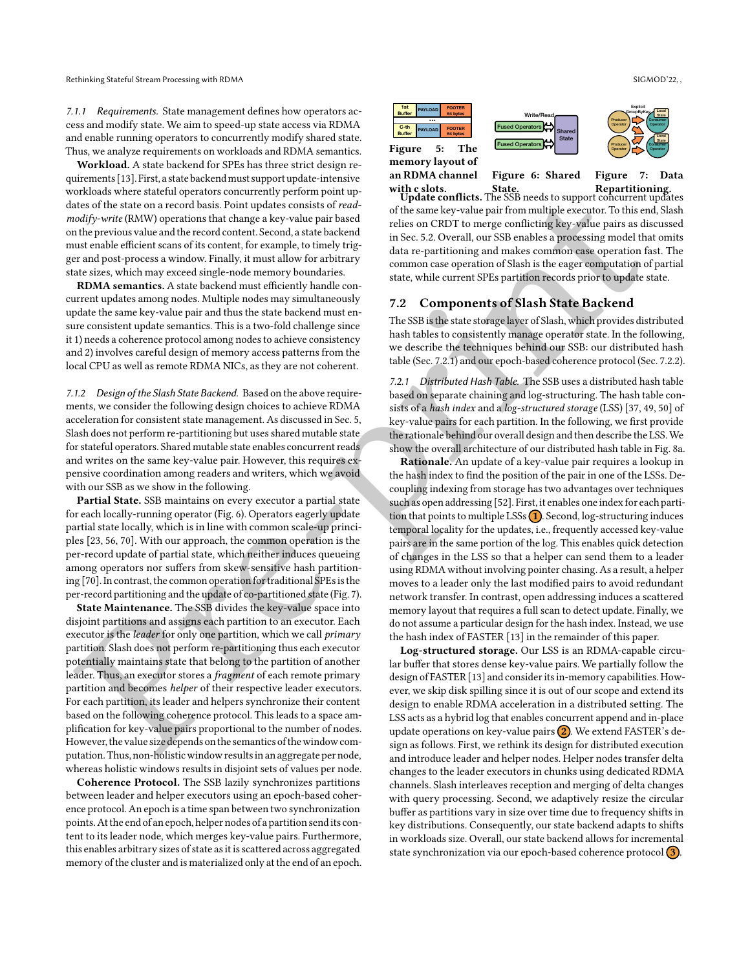<span id="page-6-3"></span>7.1.1 Requirements. State management defines how operators access and modify state. We aim to speed-up state access via RDMA and enable running operators to concurrently modify shared state. Thus, we analyze requirements on workloads and RDMA semantics.

Workload. A state backend for SPEs has three strict design requirements [\[13\]](#page-13-12). First, a state backendmust support update-intensive workloads where stateful operators concurrently perform point updates of the state on a record basis. Point updates consists of readmodify-write (RMW) operations that change a key-value pair based on the previous value and the record content. Second, a state backend must enable efficient scans of its content, for example, to timely trigger and post-process a window. Finally, it must allow for arbitrary state sizes, which may exceed single-node memory boundaries.

RDMA semantics. A state backend must efficiently handle concurrent updates among nodes. Multiple nodes may simultaneously update the same key-value pair and thus the state backend must ensure consistent update semantics. This is a two-fold challenge since it 1) needs a coherence protocol among nodes to achieve consistency and 2) involves careful design of memory access patterns from the local CPU as well as remote RDMA NICs, as they are not coherent.

<span id="page-6-4"></span>7.1.2 Design of the Slash State Backend. Based on the above requirements, we consider the following design choices to achieve RDMA acceleration for consistent state management. As discussed in Sec. 5, Slash does not perform re-partitioning but uses shared mutable state for stateful operators. Shared mutable state enables concurrent reads and writes on the same key-value pair. However, this requires expensive coordination among readers and writers, which we avoid with our SSB as we show in the following.

Partial State. SSB maintains on every executor a partial state for each locally-running operator (Fig. 6). Operators eagerly update partial state locally, which is in line with common scale-up principles [23, 56, 70]. With our approach, the common operation is the per-record update of partial state, which neither induces queueing among operators nor suffers from skew-sensitive hash partitioning [70]. In contrast, the common operation for traditional SPEs is the per-record partitioning and the update of co-partitioned state (Fig. 7).

State Maintenance. The SSB divides the key-value space into disjoint partitions and assigns each partition to an executor. Each executor is the leader for only one partition, which we call primary partition. Slash does not perform re-partitioning thus each executor potentially maintains state that belong to the partition of another leader. Thus, an executor stores a fragment of each remote primary partition and becomes helper of their respective leader executors. For each partition, its leader and helpers synchronize their content based on the following coherence protocol. This leads to a space amplification for key-value pairs proportional to the number of nodes. However, the value size depends on the semantics of the window computation. Thus, non-holistic window results in an aggregate per node, whereas holistic windows results in disjoint sets of values per node.

Coherence Protocol. The SSB lazily synchronizes partitions between leader and helper executors using an epoch-based coherence protocol. An epoch is a time span between two synchronization points. At the end of an epoch, helper nodes of a partition send its content to its leader node, which merges key-value pairs. Furthermore, this enables arbitrary sizes of state as it is scattered across aggregated memory of the cluster and is materialized only at the end of an epoch.

<span id="page-6-1"></span>

an RDMA channel

Figure 6: Shared Figure 7: Data

with c slots. State. Repartitioning. Update conflicts. The SSB needs to support concurrent updates of the same key-value pair from multiple executor. To this end, Slash relies on CRDT to merge conflicting key-value pairs as discussed in Sec. 5.2. Overall, our SSB enables a processing model that omits data re-partitioning and makes common case operation fast. The common case operation of Slash is the eager computation of partial state, while current SPEs partition records prior to update state.

## <span id="page-6-2"></span>7.2 Components of Slash State Backend

The SSB is the state storage layer of Slash, which provides distributed hash tables to consistently manage operator state. In the following, we describe the techniques behind our SSB: our distributed hash table (Sec. 7.2.1) and our epoch-based coherence protocol (Sec. [7.2.2\)](#page-6-0).

<span id="page-6-5"></span>7.2.1 Distributed Hash Table. The SSB uses a distributed hash table based on separate chaining and log-structuring. The hash table consists of a hash index and a log-structured storage (LSS) [37, [49,](#page-14-26) [50\]](#page-14-27) of key-value pairs for each partition. In the following, we first provide the rationale behind our overall design and then describe the LSS.We show the overall architecture of our distributed hash table in Fig. [8a.](#page-7-1)

and a between the system and the system in the system of the system and the system is a statistical control of the system in the system in the system in the system in the system in the system in the system in the system i Rationale. An update of a key-value pair requires a lookup in the hash index to find the position of the pair in one of the LSSs. Decoupling indexing from storage has two advantages over techniques such as open addressing [52]. First, it enables one index for each partition that points to multiple LSSs  $(1)$ . Second, log-structuring induces temporal locality for the updates, i.e., frequently accessed key-value pairs are in the same portion of the log. This enables quick detection of changes in the LSS so that a helper can send them to a leader using RDMA without involving pointer chasing. As a result, a helper moves to a leader only the last modified pairs to avoid redundant network transfer. In contrast, open addressing induces a scattered memory layout that requires a full scan to detect update. Finally, we do not assume a particular design for the hash index. Instead, we use the hash index of FASTER [13] in the remainder of this paper.

<span id="page-6-0"></span>Log-structured storage. Our LSS is an RDMA-capable circular buffer that stores dense key-value pairs. We partially follow the design of FASTER [13] and consider its in-memory capabilities. However, we skip disk spilling since it is out of our scope and extend its design to enable RDMA acceleration in a distributed setting. The LSS acts as a hybrid log that enables concurrent append and in-place update operations on key-value pairs  $(2)$ . We extend FASTER's design as follows. First, we rethink its design for distributed execution and introduce leader and helper nodes. Helper nodes transfer delta changes to the leader executors in chunks using dedicated RDMA channels. Slash interleaves reception and merging of delta changes with query processing. Second, we adaptively resize the circular buffer as partitions vary in size over time due to frequency shifts in key distributions. Consequently, our state backend adapts to shifts in workloads size. Overall, our state backend allows for incremental state synchronization via our epoch-based coherence protocol  $(3)$ .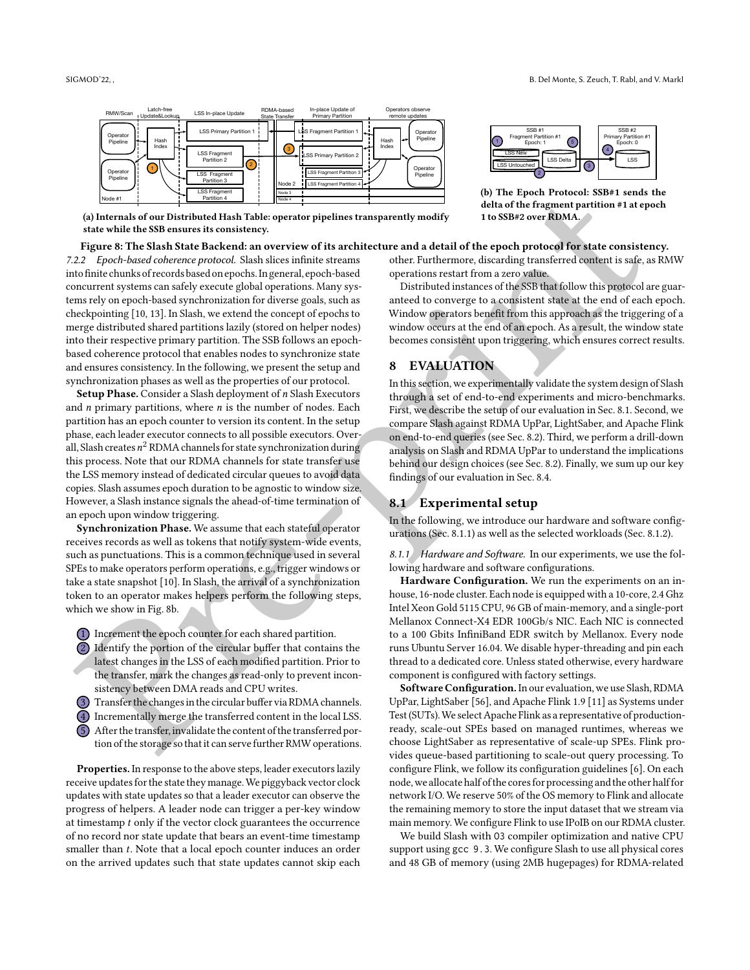<span id="page-7-1"></span>

(a) Internals of our Distributed Hash Table: operator pipelines transparently modify state while the SSB ensures its consistency.

#### Figure 8: The Slash State Backend: an overview of its architecture and a detail of the epoch protocol for state consistency.

[Pr](#page-7-1)e-[p](#page-7-3)rint 7.2.2 Epoch-based coherence protocol. Slash slices infinite streams into finite chunks of recordsbased on epochs.In general, epoch-based concurrent systems can safely execute global operations. Many systems rely on epoch-based synchronization for diverse goals, such as checkpointing [10, 13]. In Slash, we extend the concept of epochs to merge distributed shared partitions lazily (stored on helper nodes) into their respective primary partition. The SSB follows an epochbased coherence protocol that enables nodes to synchronize state and ensures consistency. In the following, we present the setup and synchronization phases as well as the properties of our protocol.

Setup Phase. Consider a Slash deployment of  $n$  Slash Executors and  $n$  primary partitions, where  $n$  is the number of nodes. Each partition has an epoch counter to version its content. In the setup phase, each leader executor connects to all possible executors. Overall, Slash creates  $n^2$  RDMA channels for state synchronization during this process. Note that our RDMA channels for state transfer use the LSS memory instead of dedicated circular queues to avoid data copies. Slash assumes epoch duration to be agnostic to window size. However, a Slash instance signals the ahead-of-time termination of an epoch upon window triggering.

Synchronization Phase. We assume that each stateful operator receives records as well as tokens that notify system-wide events, such as punctuations. This is a common technique used in several SPEs to make operators perform operations, e.g., trigger windows or take a state snapshot [10]. In Slash, the arrival of a synchronization token to an operator makes helpers perform the following steps, which we show in Fig. 8b.

- 1 Increment the epoch counter for each shared partition.
- 2 Identify the portion of the circular buffer that contains the latest changes in the LSS of each modified partition. Prior to the transfer, mark the changes as read-only to prevent inconsistency between DMA reads and CPU writes.
- 3 Transfer the changes in the circular buffer via RDMA channels.
- 4 Incrementally merge the transferred content in the local LSS.
- 5 After the transfer, invalidate the content of the transferred portion of the storage so that it can serve further RMW operations.

Properties. In response to the above steps, leader executors lazily receive updates for the state they manage.We piggyback vector clock updates with state updates so that a leader executor can observe the progress of helpers. A leader node can trigger a per-key window at timestamp  $t$  only if the vector clock guarantees the occurrence of no record nor state update that bears an event-time timestamp smaller than  $t$ . Note that a local epoch counter induces an order on the arrived updates such that state updates cannot skip each



 $\sqrt{3}$ 

(b) The Epoch Protocol: SSB#1 sends the delta of the fragment partition #1 at epoch 1 to SSB#2 over RDMA.

LSS Delta

2 J T

other. Furthermore, discarding transferred content is safe, as RMW operations restart from a zero value.

LSS New

LSS Untouched L

Distributed instances of the SSB that follow this protocol are guaranteed to converge to a consistent state at the end of each epoch. Window operators benefit from this approach as the triggering of a window occurs at the end of an epoch. As a result, the window state becomes consistent upon triggering, which ensures correct results.

## <span id="page-7-0"></span>8 EVALUATION

In this section, we experimentally validate the system design of Slash through a set of end-to-end experiments and micro-benchmarks. First, we describe the setup of our evaluation in Sec. 8.1. Second, we compare Slash against RDMA UpPar, LightSaber, and Apache Flink on end-to-end queries (see Sec. 8.2). Third, we perform a drill-down analysis on Slash and RDMA UpPar to understand the implications behind our design choices (see Sec. 8.2). Finally, we sum up our key findings of our evaluation in Sec. 8.4.

# <span id="page-7-2"></span>8.1 Experimental setup

In the following, we introduce our hardware and software configurations (Sec. 8.1.1) as well as the selected workloads (Sec. [8.1.2\)](#page-8-1).

<span id="page-7-3"></span>8.1.1 Hardware and Software. In our experiments, we use the following hardware and software configurations.

Hardware Configuration. We run the experiments on an inhouse, 16-node cluster. Each node is equipped with a 10-core, 2.4 Ghz Intel Xeon Gold 5115 CPU, 96 GB of main-memory, and a single-port Mellanox Connect-X4 EDR 100Gb/s NIC. Each NIC is connected to a 100 Gbits InfiniBand EDR switch by Mellanox. Every node runs Ubuntu Server 16.04. We disable hyper-threading and pin each thread to a dedicated core. Unless stated otherwise, every hardware component is configured with factory settings.

Software Configuration. In our evaluation, we use Slash, RDMA UpPar, LightSaber [56], and Apache Flink 1.9 [11] as Systems under Test (SUTs). We select Apache Flink as a representative of productionready, scale-out SPEs based on managed runtimes, whereas we choose LightSaber as representative of scale-up SPEs. Flink provides queue-based partitioning to scale-out query processing. To configure Flink, we follow its configuration guidelines [\[6\]](#page-13-14). On each node, we allocate half of the cores for processing and the other half for network I/O. We reserve 50% of the OS memory to Flink and allocate the remaining memory to store the input dataset that we stream via main memory. We configure Flink to use IPoIB on our RDMA cluster.

We build Slash with O3 compiler optimization and native CPU support using gcc 9.3. We configure Slash to use all physical cores and 48 GB of memory (using 2MB hugepages) for RDMA-related

LSS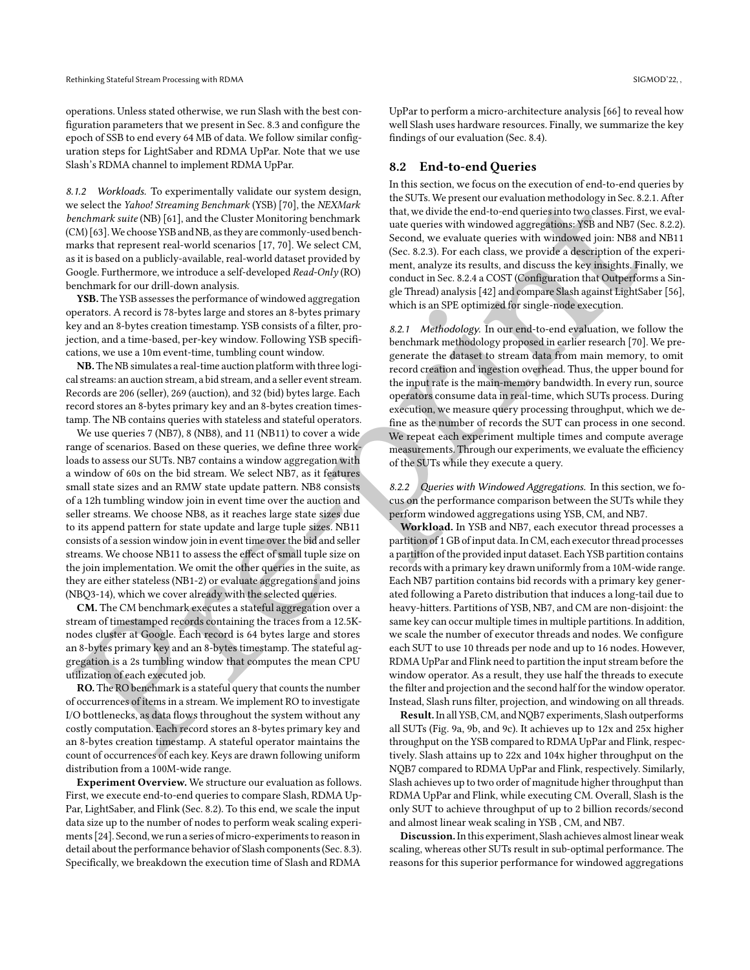operations. Unless stated otherwise, we run Slash with the best configuration parameters that we present in Sec. [8.3](#page-9-0) and configure the epoch of SSB to end every 64 MB of data. We follow similar configuration steps for LightSaber and RDMA UpPar. Note that we use Slash's RDMA channel to implement RDMA UpPar.

<span id="page-8-1"></span>8.1.2 Workloads. To experimentally validate our system design, we select the Yahoo! Streaming Benchmark (YSB) [70], the NEXMark benchmark suite (NB) [61], and the Cluster Monitoring benchmark (CM) [63]. We choose YSB and NB, as they are commonly-used benchmarks that represent real-world scenarios [17, 70]. We select CM, as it is based on a publicly-available, real-world dataset provided by Google. Furthermore, we introduce a self-developed Read-Only (RO) benchmark for our drill-down analysis.

YSB. The YSB assesses the performance of windowed aggregation operators. A record is 78-bytes large and stores an 8-bytes primary key and an 8-bytes creation timestamp. YSB consists of a filter, projection, and a time-based, per-key window. Following YSB specifications, we use a 10m event-time, tumbling count window.

NB. The NB simulates a real-time auction platform with three logical streams: an auction stream, a bid stream, and a seller event stream. Records are 206 (seller), 269 (auction), and 32 (bid) bytes large. Each record stores an 8-bytes primary key and an 8-bytes creation timestamp. The NB contains queries with stateless and stateful operators.

We use queries 7 (NB7), 8 (NB8), and 11 (NB11) to cover a wide range of scenarios. Based on these queries, we define three workloads to assess our SUTs. NB7 contains a window aggregation with a window of 60s on the bid stream. We select NB7, as it features small state sizes and an RMW state update pattern. NB8 consists of a 12h tumbling window join in event time over the auction and seller streams. We choose NB8, as it reaches large state sizes due to its append pattern for state update and large tuple sizes. NB11 consists of a session window join in event time over the bid and seller streams. We choose NB11 to assess the effect of small tuple size on the join implementation. We omit the other queries in the suite, as they are either stateless (NB1-2) or evaluate aggregations and joins (NBQ3-14), which we cover already with the selected queries.

CM. The CM benchmark executes a stateful aggregation over a stream of timestamped records containing the traces from a 12.5Knodes cluster at Google. Each record is 64 bytes large and stores an 8-bytes primary key and an 8-bytes timestamp. The stateful aggregation is a 2s tumbling window that computes the mean CPU utilization of each executed job.

RO. The RO benchmark is a stateful query that counts the number of occurrences of items in a stream. We implement RO to investigate I/O bottlenecks, as data flows throughout the system without any costly computation. Each record stores an 8-bytes primary key and an 8-bytes creation timestamp. A stateful operator maintains the count of occurrences of each key. Keys are drawn following uniform distribution from a 100M-wide range.

Experiment Overview. We structure our evaluation as follows. First, we execute end-to-end queries to compare Slash, RDMA Up-Par, LightSaber, and Flink (Sec. [8.2\)](#page-8-0). To this end, we scale the input data size up to the number of nodes to perform weak scaling experiments [\[24\]](#page-14-30). Second, we run a series of micro-experiments to reason in detail about the performance behavior of Slash components (Sec. [8.3\)](#page-9-0). Specifically, we breakdown the execution time of Slash and RDMA

UpPar to perform a micro-architecture analysis [\[66\]](#page-15-10) to reveal how well Slash uses hardware resources. Finally, we summarize the key findings of our evaluation (Sec. [8.4\)](#page-12-1).

## <span id="page-8-0"></span>8.2 End-to-end Queries

In this section, we focus on the execution of end-to-end queries by the SUTs. We present our evaluation methodology in Sec. [8.2.1.](#page-8-2) After that, we divide the end-to-end queries into two classes. First, we evaluate queries with windowed aggregations: YSB and NB7 (Sec. [8.2.2\)](#page-8-3). Second, we evaluate queries with windowed join: NB8 and NB11 (Sec. 8.2.3). For each class, we provide a description of the experiment, analyze its results, and discuss the key insights. Finally, we conduct in Sec. 8.2.4 a COST (Configuration that Outperforms a Single Thread) analysis [42] and compare Slash against LightSaber [\[56\]](#page-14-13), which is an SPE optimized for single-node execution.

<span id="page-8-2"></span>8.2.1 Methodology. In our end-to-end evaluation, we follow the benchmark methodology proposed in earlier research [70]. We pregenerate the dataset to stream data from main memory, to omit record creation and ingestion overhead. Thus, the upper bound for the input rate is the main-memory bandwidth. In every run, source operators consume data in real-time, which SUTs process. During execution, we measure query processing throughput, which we define as the number of records the SUT can process in one second. We repeat each experiment multiple times and compute average measurements. Through our experiments, we evaluate the efficiency of the SUTs while they execute a query.

<span id="page-8-3"></span>8.2.2 Queries with Windowed Aggregations. In this section, we focus on the performance comparison between the SUTs while they perform windowed aggregations using YSB, CM, and NB7.

real that the pre-harmo[n](#page-14-31)y interest of the three parts are the most of the pre-harmony interest of the three bases 8.21 methodology principle interest of the three bases 8.21 methodology interest of the most of the three Workload. In YSB and NB7, each executor thread processes a partition of 1 GB of input data. In CM, each executor thread processes a partition of the provided input dataset. Each YSB partition contains records with a primary key drawn uniformly from a 10M-wide range. Each NB7 partition contains bid records with a primary key generated following a Pareto distribution that induces a long-tail due to heavy-hitters. Partitions of YSB, NB7, and CM are non-disjoint: the same key can occur multiple times in multiple partitions. In addition, we scale the number of executor threads and nodes. We configure each SUT to use 10 threads per node and up to 16 nodes. However, RDMA UpPar and Flink need to partition the input stream before the window operator. As a result, they use half the threads to execute the filter and projection and the second half for the window operator. Instead, Slash runs filter, projection, and windowing on all threads.

Result. In all YSB, CM, and NQB7 experiments, Slash outperforms all SUTs (Fig. 9a, 9b, and 9c). It achieves up to 12x and 25x higher throughput on the YSB compared to RDMA UpPar and Flink, respectively. Slash attains up to 22x and 104x higher throughput on the NQB7 compared to RDMA UpPar and Flink, respectively. Similarly, Slash achieves up to two order of magnitude higher throughput than RDMA UpPar and Flink, while executing CM. Overall, Slash is the only SUT to achieve throughput of up to 2 billion records/second and almost linear weak scaling in YSB , CM, and NB7.

Discussion.In this experiment, Slash achieves almost linear weak scaling, whereas other SUTs result in sub-optimal performance. The reasons for this superior performance for windowed aggregations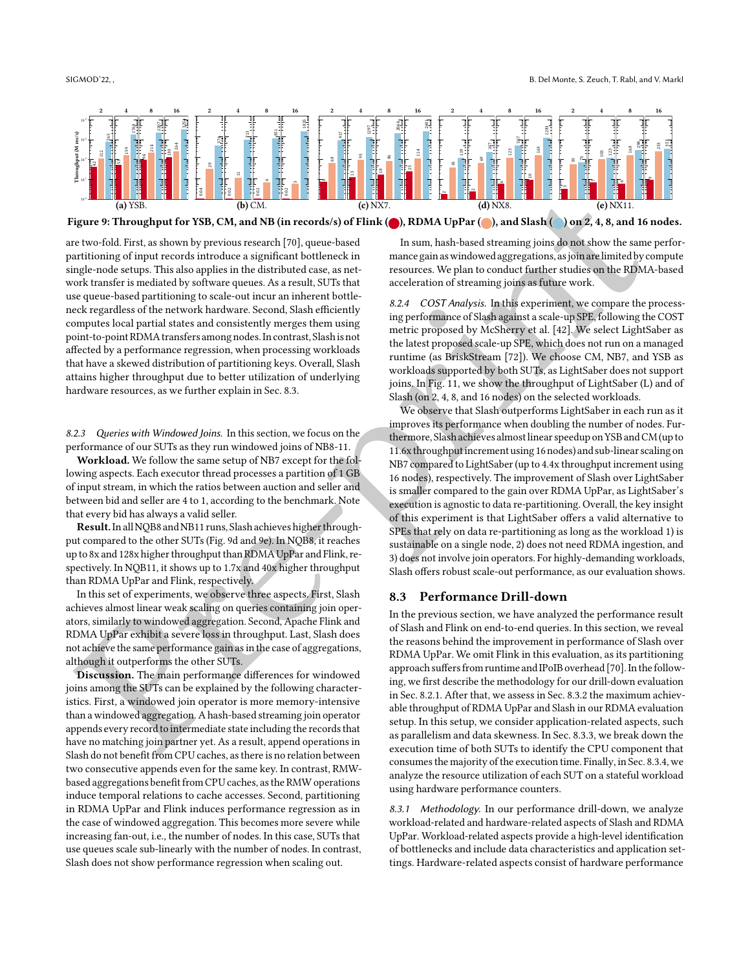<span id="page-9-3"></span>

Figure 9: Throughput for YSB, CM, and NB (in records/s) of Flink (O), RDMA UpPar (O), and Slash (O) on 2, 4, 8, and 16 nodes.

are two-fold. First, as shown by previous research [70], queue-based partitioning of input records introduce a significant bottleneck in single-node setups. This also applies in the distributed case, as network transfer is mediated by software queues. As a result, SUTs that use queue-based partitioning to scale-out incur an inherent bottleneck regardless of the network hardware. Second, Slash efficiently computes local partial states and consistently merges them using point-to-point RDMA transfers among nodes.In contrast, Slashis not affected by a performance regression, when processing workloads that have a skewed distribution of partitioning keys. Overall, Slash attains higher throughput due to better utilization of underlying hardware resources, as we further explain in Sec. 8.3.

<span id="page-9-1"></span>8.2.3 Queries with Windowed Joins. In this section, we focus on the performance of our SUTs as they run windowed joins of NB8-11.

Workload. We follow the same setup of NB7 except for the following aspects. Each executor thread processes a partition of 1 GB of input stream, in which the ratios between auction and seller and between bid and seller are 4 to 1, according to the benchmark. Note that every bid has always a valid seller.

Result.In allNQB8 andNB11 runs, Slash achieves higher throughput compared to the other SUTs (Fig. 9d and 9e). In NQB8, it reaches up to 8x and 128x higher throughput than RDMA UpPar and Flink, respectively. In NQB11, it shows up to 1.7x and 40x higher throughput than RDMA UpPar and Flink, respectively.

In this set of experiments, we observe three aspects. First, Slash achieves almost linear weak scaling on queries containing join operators, similarly to windowed aggregation. Second, Apache Flink and RDMA UpPar exhibit a severe loss in throughput. Last, Slash does not achieve the same performance gain as in the case of aggregations, although it outperforms the other SUTs.

Discussion. The main performance differences for windowed joins among the SUTs can be explained by the following characteristics. First, a windowed join operator is more memory-intensive than a windowed aggregation. A hash-based streaming join operator appends every record to intermediate state including the records that have no matching join partner yet. As a result, append operations in Slash do not benefit from CPU caches, as there is no relation between two consecutive appends even for the same key. In contrast, RMWbased aggregations benefit from CPU caches, as the RMW operations induce temporal relations to cache accesses. Second, partitioning in RDMA UpPar and Flink induces performance regression as in the case of windowed aggregation. This becomes more severe while increasing fan-out, i.e., the number of nodes. In this case, SUTs that use queues scale sub-linearly with the number of nodes. In contrast, Slash does not show performance regression when scaling out.

In sum, hash-based streaming joins do not show the same performance gain aswindowed aggregations, asjoin arelimitedby compute resources. We plan to conduct further studies on the RDMA-based acceleration of streaming joins as future work.

<span id="page-9-2"></span>8.2.4 COST Analysis. In this experiment, we compare the processing performance of Slash against a scale-up SPE, following the COST metric proposed by McSherry et al. [42]. We select LightSaber as the latest proposed scale-up SPE, which does not run on a managed runtime (as BriskStream [72]). We choose CM, NB7, and YSB as workloads supported by both SUTs, as LightSaber does not support joins. In Fig. 11, we show the throughput of LightSaber (L) and of Slash (on 2, 4, 8, and 16 nodes) on the selected workloads.

**Exampl[e](#page-9-3) 18 a[n](#page-14-31)d 18 and 200 and 200 and 200 and 200 and 200 and 200 and 200 and 200 and 200 and 200 and 200 and 200 and 200 and 200 and 200 and 200 and 200 and 200 and 200 and 200 and 200 and 200 and 200 and 200 and 200 an** We observe that Slash outperforms LightSaber in each run as it improves its performance when doubling the number of nodes. Furthermore, Slashachieves almost linear speedup on YSB and CM(up to 11.6x throughputincrement using 16 nodes) and sub-linear scaling on NB7 compared to LightSaber (up to 4.4x throughput increment using 16 nodes), respectively. The improvement of Slash over LightSaber is smaller compared to the gain over RDMA UpPar, as LightSaber's execution is agnostic to data re-partitioning. Overall, the key insight of this experiment is that LightSaber offers a valid alternative to SPEs that rely on data re-partitioning as long as the workload 1) is sustainable on a single node, 2) does not need RDMA ingestion, and 3) does not involve join operators. For highly-demanding workloads, Slash offers robust scale-out performance, as our evaluation shows.

## <span id="page-9-0"></span>8.3 Performance Drill-down

In the previous section, we have analyzed the performance result of Slash and Flink on end-to-end queries. In this section, we reveal the reasons behind the improvement in performance of Slash over RDMA UpPar. We omit Flink in this evaluation, as its partitioning approach suffers from runtime and IPoIB overhead [70]. In the following, we first describe the methodology for our drill-down evaluation in Sec. 8.2.1. After that, we assess in Sec. 8.3.2 the maximum achievable throughput of RDMA UpPar and Slash in our RDMA evaluation setup. In this setup, we consider application-related aspects, such as parallelism and data skewness. In Sec. 8.3.3, we break down the execution time of both SUTs to identify the CPU component that consumes the majority of the execution time. Finally, in Sec. [8.3.4,](#page-11-1) we analyze the resource utilization of each SUT on a stateful workload using hardware performance counters.

8.3.1 Methodology. In our performance drill-down, we analyze workload-related and hardware-related aspects of Slash and RDMA UpPar. Workload-related aspects provide a high-level identification of bottlenecks and include data characteristics and application settings. Hardware-related aspects consist of hardware performance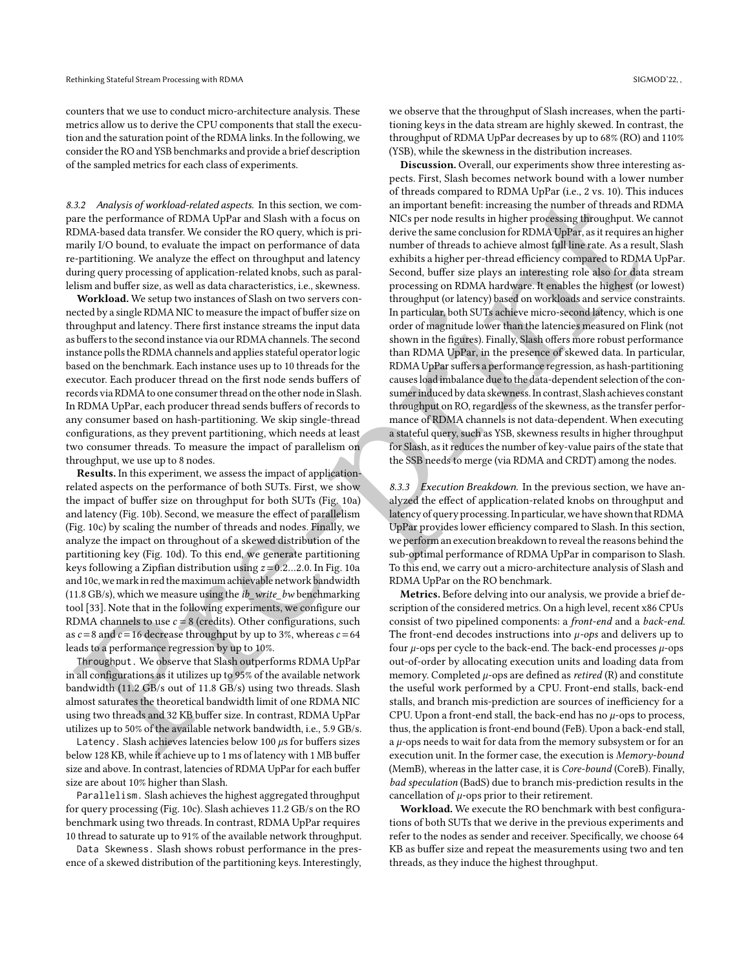counters that we use to conduct micro-architecture analysis. These metrics allow us to derive the CPU components that stall the execution and the saturation point of the RDMA links. In the following, we consider the RO and YSB benchmarks and provide a brief description of the sampled metrics for each class of experiments.

<span id="page-10-0"></span>8.3.2 Analysis of workload-related aspects. In this section, we compare the performance of RDMA UpPar and Slash with a focus on RDMA-based data transfer. We consider the RO query, which is primarily I/O bound, to evaluate the impact on performance of data re-partitioning. We analyze the effect on throughput and latency during query processing of application-related knobs, such as parallelism and buffer size, as well as data characteristics, i.e., skewness.

Workload. We setup two instances of Slash on two servers connected by a single RDMA NIC to measure the impact of buffer size on throughput and latency. There first instance streams the input data as buffers to the second instance via our RDMA channels. The second instance polls the RDMA channels and applies stateful operator logic based on the benchmark. Each instance uses up to 10 threads for the executor. Each producer thread on the first node sends buffers of records via RDMA to one consumer thread on the other node in Slash. In RDMA UpPar, each producer thread sends buffers of records to any consumer based on hash-partitioning. We skip single-thread configurations, as they prevent partitioning, which needs at least two consumer threads. To measure the impact of parallelism on throughput, we use up to 8 nodes.

Results. In this experiment, we assess the impact of applicationrelated aspects on the performance of both SUTs. First, we show the impact of buffer size on throughput for both SUTs (Fig. 10a) and latency (Fig. 10b). Second, we measure the effect of parallelism (Fig. 10c) by scaling the number of threads and nodes. Finally, we analyze the impact on throughout of a skewed distribution of the partitioning key (Fig. 10d). To this end, we generate partitioning keys following a Zipfian distribution using  $z = 0.2...2.0$ . In Fig. 10a and 10c, wemarkin red themaximum achievable network bandwidth  $(11.8 \text{ GB/s})$ , which we measure using the *ib* write *bw* benchmarking tool [33]. Note that in the following experiments, we configure our RDMA channels to use  $c = 8$  (credits). Other configurations, such as  $c = 8$  and  $c = 16$  decrease throughput by up to 3%, whereas  $c = 64$ leads to a performance regression by up to 10%.

Throughput. We observe that Slash outperforms RDMA UpPar in all configurations as it utilizes up to 95% of the available network bandwidth (11.2 GB/s out of 11.8 GB/s) using two threads. Slash almost saturates the theoretical bandwidth limit of one RDMA NIC using two threads and 32 KB buffer size. In contrast, RDMA UpPar utilizes up to 50% of the available network bandwidth, i.e., 5.9 GB/s.

Latency. Slash achieves latencies below 100  $\mu$ s for buffers sizes below 128 KB, while it achieve up to 1 ms of latency with 1 MB buffer size and above. In contrast, latencies of RDMA UpPar for each buffer size are about 10% higher than Slash.

Parallelism. Slash achieves the highest aggregated throughput for query processing (Fig. [10c\)](#page-11-2). Slash achieves 11.2 GB/s on the RO benchmark using two threads. In contrast, RDMA UpPar requires 10 thread to saturate up to 91% of the available network throughput.

Data Skewness. Slash shows robust performance in the presence of a skewed distribution of the partitioning keys. Interestingly, we observe that the throughput of Slash increases, when the partitioning keys in the data stream are highly skewed. In contrast, the throughput of RDMA UpPar decreases by up to 68% (RO) and 110% (YSB), while the skewness in the distribution increases.

22. Analysis of workfoarised appears in this estima, we can<br>appear in the selecce of involving the reason in the selecce of the selecce of the selecce of the selecce of the selecce of the selecce of the selecce of the se Discussion. Overall, our experiments show three interesting aspects. First, Slash becomes network bound with a lower number of threads compared to RDMA UpPar (i.e., 2 vs. 10). This induces an important benefit: increasing the number of threads and RDMA NICs per node results in higher processing throughput. We cannot derive the same conclusion for RDMA UpPar, as it requires an higher number of threads to achieve almost full line rate. As a result, Slash exhibits a higher per-thread efficiency compared to RDMA UpPar. Second, buffer size plays an interesting role also for data stream processing on RDMA hardware. It enables the highest (or lowest) throughput (or latency) based on workloads and service constraints. In particular, both SUTs achieve micro-second latency, which is one order of magnitude lower than the latencies measured on Flink (not shown in the figures). Finally, Slash offers more robust performance than RDMA UpPar, in the presence of skewed data. In particular, RDMA UpParsuffers a performance regression, as hash-partitioning causes load imbalance due to the data-dependent selection of the consumer induced by data skewness.In contrast, Slash achieves constant throughput on RO, regardless of the skewness, as the transfer performance of RDMA channels is not data-dependent. When executing a stateful query, such as YSB, skewness results in higher throughput for Slash, as it reduces the number of key-value pairs of the state that the SSB needs to merge (via RDMA and CRDT) among the nodes.

<span id="page-10-1"></span>8.3.3 Execution Breakdown. In the previous section, we have analyzed the effect of application-related knobs on throughput and latency of query processing. In particular, we have shown that RDMA UpPar provides lower efficiency compared to Slash. In this section, we perform an execution breakdown to reveal the reasons behind the sub-optimal performance of RDMA UpPar in comparison to Slash. To this end, we carry out a micro-architecture analysis of Slash and RDMA UpPar on the RO benchmark.

Metrics. Before delving into our analysis, we provide a brief description of the considered metrics. On a high level, recent x86 CPUs consist of two pipelined components: a front-end and a back-end. The front-end decodes instructions into  $\mu$ -ops and delivers up to four  $\mu$ -ops per cycle to the back-end. The back-end processes  $\mu$ -ops out-of-order by allocating execution units and loading data from memory. Completed  $\mu$ -ops are defined as *retired* (R) and constitute the useful work performed by a CPU. Front-end stalls, back-end stalls, and branch mis-prediction are sources of inefficiency for a CPU. Upon a front-end stall, the back-end has no  $\mu$ -ops to process, thus, the application is front-end bound (FeB). Upon a back-end stall, a  $\mu$ -ops needs to wait for data from the memory subsystem or for an execution unit. In the former case, the execution is Memory-bound (MemB), whereas in the latter case, it is Core-bound (CoreB). Finally, bad speculation (BadS) due to branch mis-prediction results in the cancellation of  $\mu$ -ops prior to their retirement.

Workload. We execute the RO benchmark with best configurations of both SUTs that we derive in the previous experiments and refer to the nodes as sender and receiver. Specifically, we choose 64 KB as buffer size and repeat the measurements using two and ten threads, as they induce the highest throughput.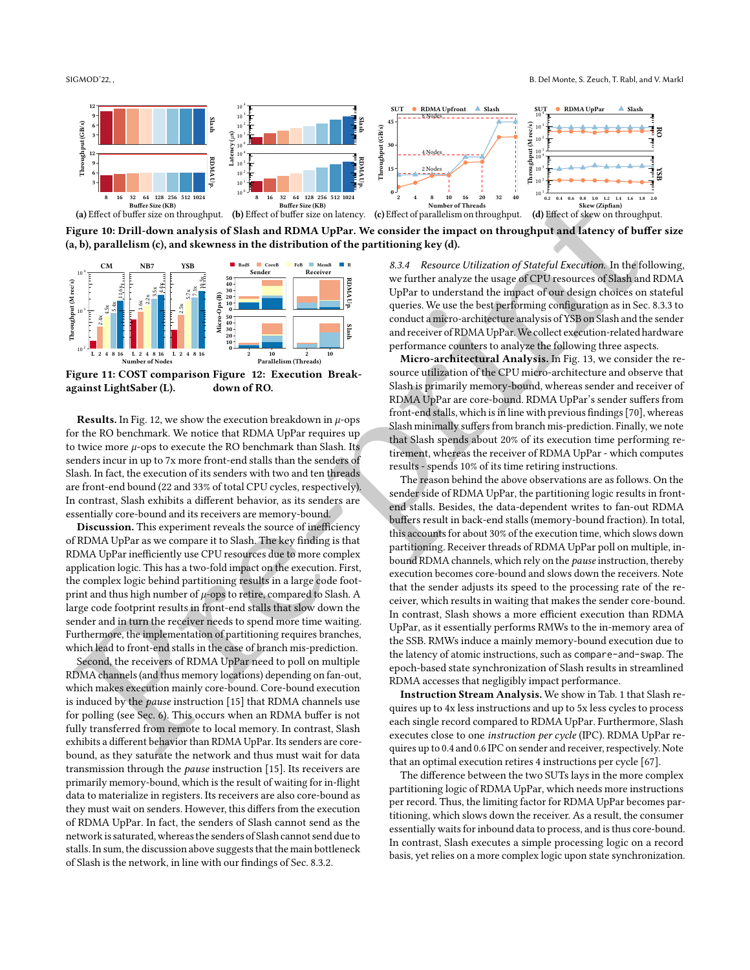<span id="page-11-2"></span>

Figure 10: Drill-down analysis of Slash and RDMA UpPar. We consider the impact on throughput and latency of buffer size (a, b), parallelism (c), and skewness in the distribution of the partitioning key (d).

<span id="page-11-0"></span>

Figure 11: COST comparison Figure 12: Execution Breakagainst LightSaber (L). down of RO.

**Results.** In Fig. 12, we show the execution breakdown in  $\mu$ -ops for the RO benchmark. We notice that RDMA UpPar requires up to twice more  $\mu$ -ops to execute the RO benchmark than Slash. Its senders incur in up to 7x more front-end stalls than the senders of Slash. In fact, the execution of its senders with two and ten threads are front-end bound (22 and 33% of total CPU cycles, respectively). In contrast, Slash exhibits a different behavior, as its senders are essentially core-bound and its receivers are memory-bound.

Discussion. This experiment reveals the source of inefficiency of RDMA UpPar as we compare it to Slash. The key finding is that RDMA UpPar inefficiently use CPU resources due to more complex application logic. This has a two-fold impact on the execution. First, the complex logic behind partitioning results in a large code footprint and thus high number of  $\mu$ -ops to retire, compared to Slash. A large code footprint results in front-end stalls that slow down the sender and in turn the receiver needs to spend more time waiting. Furthermore, the implementation of partitioning requires branches, which lead to front-end stalls in the case of branch mis-prediction.

Second, the receivers of RDMA UpPar need to poll on multiple RDMA channels (and thus memory locations) depending on fan-out, which makes execution mainly core-bound. Core-bound execution is induced by the pause instruction [15] that RDMA channels use for polling (see Sec. 6). This occurs when an RDMA buffer is not fully transferred from remote to local memory. In contrast, Slash exhibits a different behavior than RDMA UpPar. Its senders are corebound, as they saturate the network and thus must wait for data transmission through the pause instruction [\[15\]](#page-13-16). Its receivers are primarily memory-bound, which is the result of waiting for in-flight data to materialize in registers. Its receivers are also core-bound as they must wait on senders. However, this differs from the execution of RDMA UpPar. In fact, the senders of Slash cannot send as the network is saturated, whereas the senders of Slash cannot send due to stalls. In sum, the discussion above suggests that the main bottleneck of Slash is the network, in line with our findings of Sec. [8.3.2.](#page-10-0)

<span id="page-11-1"></span>8.3.4 Resource Utilization of Stateful Execution. In the following, we further analyze the usage of CPU resources of Slash and RDMA UpPar to understand the impact of our design choices on stateful queries. We use the best performing configuration as in Sec. [8.3.3](#page-10-1) to conduct a micro-architecture analysis of YSB on Slash and the sender and receiver of RDMA UpPar.We collect execution-related hardware performance counters to analyze the following three aspects.

Micro-architectural Analysis. In Fig. 13, we consider the resource utilization of the CPU micro-architecture and observe that Slash is primarily memory-bound, whereas sender and receiver of RDMA UpPar are core-bound. RDMA UpPar's sender suffers from front-end stalls, which is in line with previous findings [70], whereas Slash minimally suffers from branch mis-prediction. Finally, we note that Slash spends about 20% of its execution time performing retirement, whereas the receiver of RDMA UpPar - which computes results - spends 10% of its time retiring instructions.

Co[n](#page-12-2)tent distribution of the transmission of the state of the state of the state of the state of the state of the state of the state of the state of the state of the state of the state of the state of the state of the stat The reason behind the above observations are as follows. On the sender side of RDMA UpPar, the partitioning logic results in frontend stalls. Besides, the data-dependent writes to fan-out RDMA buffers result in back-end stalls (memory-bound fraction). In total, this accounts for about 30% of the execution time, which slows down partitioning. Receiver threads of RDMA UpPar poll on multiple, inbound RDMA channels, which rely on the pause instruction, thereby execution becomes core-bound and slows down the receivers. Note that the sender adjusts its speed to the processing rate of the receiver, which results in waiting that makes the sender core-bound. In contrast, Slash shows a more efficient execution than RDMA UpPar, as it essentially performs RMWs to the in-memory area of the SSB. RMWs induce a mainly memory-bound execution due to the latency of atomic instructions, such as compare-and-swap. The epoch-based state synchronization of Slash results in streamlined RDMA accesses that negligibly impact performance.

Instruction Stream Analysis. We show in Tab. 1 that Slash requires up to 4x less instructions and up to 5x less cycles to process each single record compared to RDMA UpPar. Furthermore, Slash executes close to one instruction per cycle (IPC). RDMA UpPar requires up to 0.4 and 0.6 IPC on sender and receiver, respectively. Note that an optimal execution retires 4 instructions per cycle [\[67\]](#page-15-11).

The difference between the two SUTs lays in the more complex partitioning logic of RDMA UpPar, which needs more instructions per record. Thus, the limiting factor for RDMA UpPar becomes partitioning, which slows down the receiver. As a result, the consumer essentially waits for inbound data to process, and is thus core-bound. In contrast, Slash executes a simple processing logic on a record basis, yet relies on a more complex logic upon state synchronization.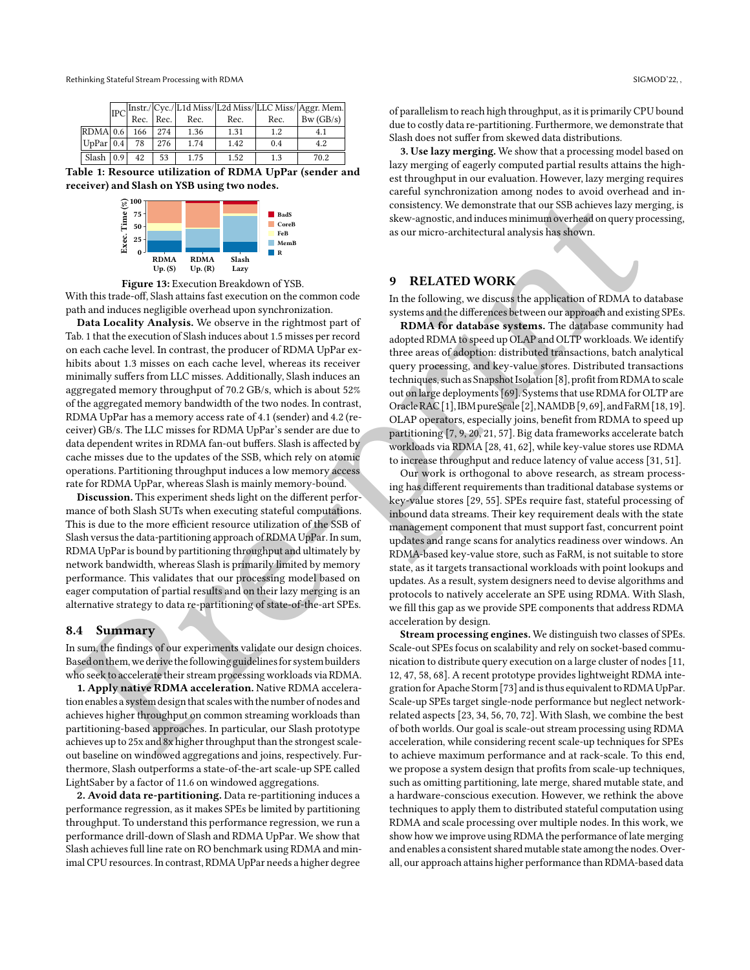<span id="page-12-3"></span>

|                            |  |     |     |      |      |     | $\boxed{\text{IPC}\begin{bmatrix} \text{Instr.} \text{Cyc.} \text{L1d Miss}/\text{L2d Miss}/\text{LLC Miss}/\text{Aggr. Mem.}\\ \text{Rec.} \text{Rec.}\end{bmatrix}}$ |
|----------------------------|--|-----|-----|------|------|-----|------------------------------------------------------------------------------------------------------------------------------------------------------------------------|
|                            |  |     |     |      |      |     |                                                                                                                                                                        |
| RDMA 0.6                   |  | 166 | 274 | 1.36 | 1.31 | 1.2 | 4.1                                                                                                                                                                    |
| $UpPar$ 0.4                |  | 78  | 276 | 1.74 | 1.42 | 0.4 | 4.2                                                                                                                                                                    |
| Slash $\vert 0.9 \vert$ 42 |  |     | 53  | 1.75 | 1.52 | 1.3 | 70.2                                                                                                                                                                   |

Table 1: Resource utilization of RDMA UpPar (sender and receiver) and Slash on YSB using two nodes.



Figure 13: Execution Breakdown of YSB.

With this trade-off, Slash attains fast execution on the common code path and induces negligible overhead upon synchronization.

<span id="page-12-2"></span> $\begin{tabular}{|c|c|c|c|c|} \hline $2^{\text{min}}$ & $2^{\text{min}}$ \\ \hline $4^{\text{min}}$ & $2^{\text{min}}$ \\ \hline $4^{\text{min}}$ & $2^{\text{min}}$ \\ \hline $4^{\text{min}}$ & $2^{\text{min}}$ \\ \hline $4^{\text{min}}$ & $2^{\text{min}}$ \\ \hline $4^{\text{min}}$ & $2^{\text{min}}$ \\ \hline $4^{\text{min}}$ & $2^{\text{min}}$ \\ \hline $4^{\text{min}}$ & $2^{\text{min}}$ \\ \hline $4^{\text{min}}$ & $2^{\text$  $\begin{tabular}{|c|c|c|c|c|} \hline $2^{\text{min}}$ & $2^{\text{min}}$ \\ \hline $4^{\text{min}}$ & $2^{\text{min}}$ \\ \hline $4^{\text{min}}$ & $2^{\text{min}}$ \\ \hline $4^{\text{min}}$ & $2^{\text{min}}$ \\ \hline $4^{\text{min}}$ & $2^{\text{min}}$ \\ \hline $4^{\text{min}}$ & $2^{\text{min}}$ \\ \hline $4^{\text{min}}$ & $2^{\text{min}}$ \\ \hline $4^{\text{min}}$ & $2^{\text{min}}$ \\ \hline $4^{\text{min}}$ & $2^{\text$  $\begin{tabular}{|c|c|c|c|c|} \hline $2^{\text{min}}$ & $2^{\text{min}}$ \\ \hline $4^{\text{min}}$ & $2^{\text{min}}$ \\ \hline $4^{\text{min}}$ & $2^{\text{min}}$ \\ \hline $4^{\text{min}}$ & $2^{\text{min}}$ \\ \hline $4^{\text{min}}$ & $2^{\text{min}}$ \\ \hline $4^{\text{min}}$ & $2^{\text{min}}$ \\ \hline $4^{\text{min}}$ & $2^{\text{min}}$ \\ \hline $4^{\text{min}}$ & $2^{\text{min}}$ \\ \hline $4^{\text{min}}$ & $2^{\text$  $\begin{tabular}{|c|c|c|c|c|} \hline $2^{\text{min}}$ & $2^{\text{min}}$ \\ \hline $4^{\text{min}}$ & $2^{\text{min}}$ \\ \hline $4^{\text{min}}$ & $2^{\text{min}}$ \\ \hline $4^{\text{min}}$ & $2^{\text{min}}$ \\ \hline $4^{\text{min}}$ & $2^{\text{min}}$ \\ \hline $4^{\text{min}}$ & $2^{\text{min}}$ \\ \hline $4^{\text{min}}$ & $2^{\text{min}}$ \\ \hline $4^{\text{min}}$ & $2^{\text{min}}$ \\ \hline $4^{\text{min}}$ & $2^{\text$ Data Locality Analysis. We observe in the rightmost part of Tab. 1 that the execution of Slash induces about 1.5 misses per record on each cache level. In contrast, the producer of RDMA UpPar exhibits about 1.3 misses on each cache level, whereas its receiver minimally suffers from LLC misses. Additionally, Slash induces an aggregated memory throughput of 70.2 GB/s, which is about 52% of the aggregated memory bandwidth of the two nodes. In contrast, RDMA UpPar has a memory access rate of 4.1 (sender) and 4.2 (receiver) GB/s. The LLC misses for RDMA UpPar's sender are due to data dependent writes in RDMA fan-out buffers. Slash is affected by cache misses due to the updates of the SSB, which rely on atomic operations. Partitioning throughput induces a low memory access rate for RDMA UpPar, whereas Slash is mainly memory-bound.

Discussion. This experiment sheds light on the different performance of both Slash SUTs when executing stateful computations. This is due to the more efficient resource utilization of the SSB of Slash versus the data-partitioning approach of RDMA UpPar. In sum, RDMA UpParis bound by partitioning throughput and ultimately by network bandwidth, whereas Slash is primarily limited by memory performance. This validates that our processing model based on eager computation of partial results and on their lazy merging is an alternative strategy to data re-partitioning of state-of-the-art SPEs.

#### <span id="page-12-1"></span>8.4 Summary

In sum, the findings of our experiments validate our design choices. Based on them,we derive the following guidelines for systembuilders who seek to accelerate their stream processing workloads via RDMA.

1. Apply native RDMA acceleration. Native RDMA acceleration enables a system design that scales with the number of nodes and achieves higher throughput on common streaming workloads than partitioning-based approaches. In particular, our Slash prototype achieves up to 25x and 8x higher throughput than the strongest scaleout baseline on windowed aggregations and joins, respectively. Furthermore, Slash outperforms a state-of-the-art scale-up SPE called LightSaber by a factor of 11.6 on windowed aggregations.

2. Avoid data re-partitioning. Data re-partitioning induces a performance regression, as it makes SPEs be limited by partitioning throughput. To understand this performance regression, we run a performance drill-down of Slash and RDMA UpPar. We show that Slash achieves full line rate on RO benchmark using RDMA and minimal CPU resources. In contrast, RDMA UpPar needs a higher degree

of parallelism to reach high throughput, as it is primarily CPU bound due to costly data re-partitioning. Furthermore, we demonstrate that Slash does not suffer from skewed data distributions.

3. Use lazy merging. We show that a processing model based on lazy merging of eagerly computed partial results attains the highest throughput in our evaluation. However, lazy merging requires careful synchronization among nodes to avoid overhead and inconsistency. We demonstrate that our SSB achieves lazy merging, is skew-agnostic, and induces minimum overhead on query processing, as our micro-architectural analysis has shown.

# <span id="page-12-0"></span>9 RELATED WORK

In the following, we discuss the application of RDMA to database systems and the differences between our approach and existing SPEs.

RDMA for database systems. The database community had adopted RDMA to speed up OLAP and OLTP workloads. We identify three areas of adoption: distributed transactions, batch analytical query processing, and key-value stores. Distributed transactions techniques, such as Snapshot Isolation [8], profit from RDMA to scale out on large deployments [69]. Systems that use RDMA for OLTP are Oracle RAC [1], IBM pureScale [2], NAMDB [9, 69], and FaRM [\[18,](#page-13-20) [19\]](#page-13-2). OLAP operators, especially joins, benefit from RDMA to speed up partitioning [7, 9, 20, 21, 57]. Big data frameworks accelerate batch workloads via RDMA [28, 41, 62], while key-value stores use RDMA to increase throughput and reduce latency of value access [\[31,](#page-14-6) [51\]](#page-14-36).

Our work is orthogonal to above research, as stream processing has different requirements than traditional database systems or key-value stores [29, 55]. SPEs require fast, stateful processing of inbound data streams. Their key requirement deals with the state management component that must support fast, concurrent point updates and range scans for analytics readiness over windows. An RDMA-based key-value store, such as FaRM, is not suitable to store state, as it targets transactional workloads with point lookups and updates. As a result, system designers need to devise algorithms and protocols to natively accelerate an SPE using RDMA. With Slash, we fill this gap as we provide SPE components that address RDMA acceleration by design.

Stream processing engines. We distinguish two classes of SPEs. Scale-out SPEs focus on scalability and rely on socket-based communication to distribute query execution on a large cluster of nodes [\[11,](#page-13-3) 12, 47, 58, 68]. A recent prototype provides lightweight RDMA integration for Apache Storm [73] and is thus equivalent to RDMA UpPar. Scale-up SPEs target single-node performance but neglect networkrelated aspects [23, 34, 56, 70, 72]. With Slash, we combine the best of both worlds. Our goal is scale-out stream processing using RDMA acceleration, while considering recent scale-up techniques for SPEs to achieve maximum performance and at rack-scale. To this end, we propose a system design that profits from scale-up techniques, such as omitting partitioning, late merge, shared mutable state, and a hardware-conscious execution. However, we rethink the above techniques to apply them to distributed stateful computation using RDMA and scale processing over multiple nodes. In this work, we show how we improve using RDMA the performance of late merging and enables a consistent shared mutable state among the nodes. Overall, our approach attains higher performance than RDMA-based data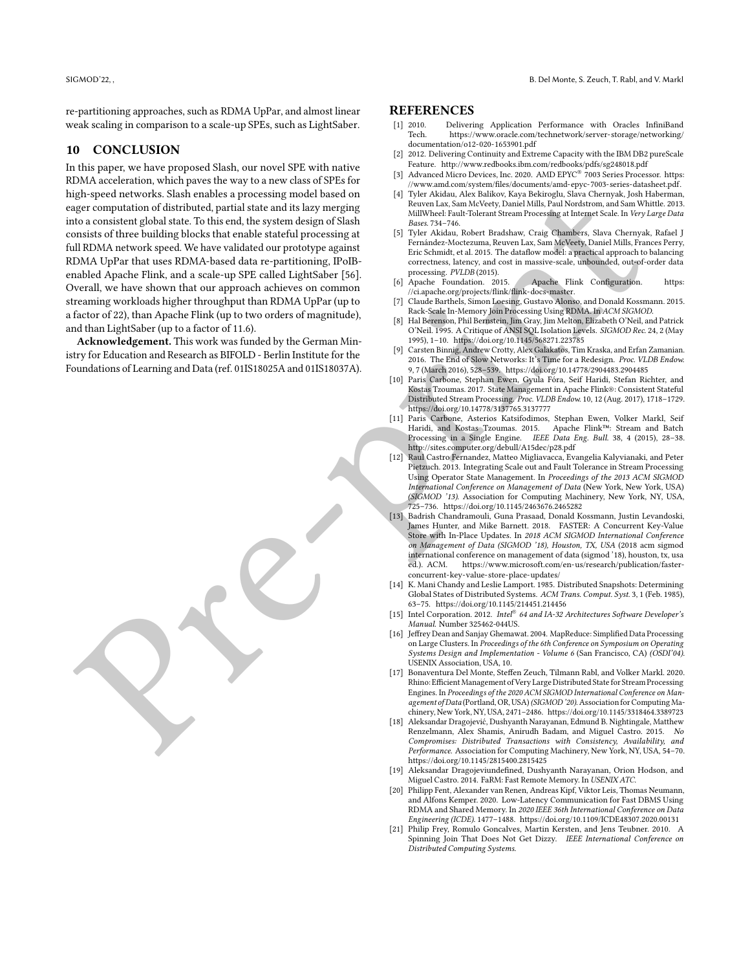re-partitioning approaches, such as RDMA UpPar, and almost linear weak scaling in comparison to a scale-up SPEs, such as LightSaber.

# <span id="page-13-7"></span>10 CONCLUSION

The [p](http://sites.computer.org/debull/A15dec/p28.pdf)ressure results are pressure that the pre-pressure i[n](https://doi.org/10.1145/568271.223785) [t](https://ci.apache.org/projects/flink/flink-docs-master)he three states are not the the states are not the the states are not the states are not the states and the states are not the states are not the states are not In this paper, we have proposed Slash, our novel SPE with native RDMA acceleration, which paves the way to a new class of SPEs for high-speed networks. Slash enables a processing model based on eager computation of distributed, partial state and its lazy merging into a consistent global state. To this end, the system design of Slash consists of three building blocks that enable stateful processing at full RDMA network speed. We have validated our prototype against RDMA UpPar that uses RDMA-based data re-partitioning, IPoIBenabled Apache Flink, and a scale-up SPE called LightSaber [56]. Overall, we have shown that our approach achieves on common streaming workloads higher throughput than RDMA UpPar (up to a factor of 22), than Apache Flink (up to two orders of magnitude), and than LightSaber (up to a factor of 11.6).

Acknowledgement. This work was funded by the German Ministry for Education and Research as BIFOLD - Berlin Institute for the Foundations of Learning and Data (ref. 01IS18025A and 01IS18037A).

#### REFERENCES

- <span id="page-13-18"></span>[1] 2010. Delivering Application Performance with Oracles InfiniBand https://www.oracle.com/technetwork/server-storage/networking/ [documentation/o12-020-1653901.pdf](https://www.oracle.com/technetwork/server-storage/networking/documentation/o12-020-1653901.pdf)
- <span id="page-13-19"></span>[2] 2012. Delivering Continuity and Extreme Capacity with the IBM DB2 pureScale Feature.<http://www.redbooks.ibm.com/redbooks/pdfs/sg248018.pdf>
- <span id="page-13-1"></span>Advanced Micro Devices, Inc. 2020. AMD EPYC® 7003 Series Processor. [https:](https://www.amd.com/system/files/documents/amd-epyc-7003-series-datasheet.pdf) [//www.amd.com/system/files/documents/amd-epyc-7003-series-datasheet.pdf.](https://www.amd.com/system/files/documents/amd-epyc-7003-series-datasheet.pdf)
- <span id="page-13-8"></span>Tyler Akidau, Alex Balikov, Kaya Bekiroglu, Slava Chernyak, Josh Haberman, Reuven Lax, Sam McVeety, Daniel Mills, Paul Nordstrom, and Sam Whittle. 2013. MillWheel: Fault-Tolerant Stream Processing at Internet Scale. In Very Large Data Bases. 734–746.
- <span id="page-13-9"></span>[5] Tyler Akidau, Robert Bradshaw, Craig Chambers, Slava Chernyak, Rafael J Fernández-Moctezuma, Reuven Lax, Sam McVeety, Daniel Mills, Frances Perry, Eric Schmidt, et al. 2015. The dataflow model: a practical approach to balancing correctness, latency, and cost in massive-scale, unbounded, out-of-order data processing. *PVLDB* (2015).<br>[6] Apache Foundation. 2015.
- <span id="page-13-14"></span>Apache Flink Configuration. [https:](https://ci.apache.org/projects/flink/flink-docs-master) //ci.apache.org/projects/flink/flink-docs-master.
- <span id="page-13-5"></span>[7] Claude Barthels, Simon Loesing, Gustavo Alonso, and Donald Kossmann. 2015. Rack-Scale In-Memory Join Processing Using RDMA. In ACM SIGMOD.
- <span id="page-13-17"></span>[8] Hal Berenson, Phil Bernstein, Jim Gray, Jim Melton, Elizabeth O'Neil, and Patrick O'Neil. 1995. A Critique of ANSI SQL Isolation Levels. SIGMOD Rec. 24, 2 (May 1995), 1–10. https://doi.org/10.1145/568271.223785
- <span id="page-13-0"></span>[9] Carsten Binnig, Andrew Crotty, Alex Galakatos, Tim Kraska, and Erfan Zamanian. 2016. The End of Slow Networks: It's Time for a Redesign. Proc. VLDB Endow. 9, 7 (March 2016), 528–539. https://doi.org/10.14778/2904483.2904485
- <span id="page-13-11"></span>[10] Paris Carbone, Stephan Ewen, Gyula Fóra, Seif Haridi, Stefan Richter, and Kostas Tzoumas. 2017. State Management in Apache Flink®: Consistent Stateful Distributed Stream Processing. Proc. VLDB Endow. 10, 12 (Aug. 2017), 1718–1729. https://doi.org/10.14778/3137765.3137777
- <span id="page-13-3"></span>[11] Paris Carbone, Asterios Katsifodimos, Stephan Ewen, Volker Markl, Seif Haridi, and Kostas Tzoumas. 2015. Apache Flink™: Stream and Batch Processing in a Single Engine. IEEE Data Eng. Bull. 38, 4 (2015), 28–38. http://sites.computer.org/debull/A15dec/p28.pdf
- <span id="page-13-10"></span>[12] Raul Castro Fernandez, Matteo Migliavacca, Evangelia Kalyvianaki, and Peter Pietzuch. 2013. Integrating Scale out and Fault Tolerance in Stream Processing Using Operator State Management. In Proceedings of the 2013 ACM SIGMOD International Conference on Management of Data (New York, New York, USA) (SIGMOD '13). Association for Computing Machinery, New York, NY, USA, 725–736. https://doi.org/10.1145/2463676.2465282
- <span id="page-13-12"></span>[13] Badrish Chandramouli, Guna Prasaad, Donald Kossmann, Justin Levandoski, James Hunter, and Mike Barnett. 2018. FASTER: A Concurrent Key-Value Store with In-Place Updates. In 2018 ACM SIGMOD International Conference on Management of Data (SIGMOD '18), Houston, TX, USA (2018 acm sigmod international conference on management of data (sigmod '18), houston, tx, usa<br>ed.). ACM. https://www.microsoft.com/en-us/research/publication/fasterhttps://www.microsoft.com/en-us/research/publication/fasterconcurrent-key-value-store-place-updates/
- <span id="page-13-13"></span>[14] K. Mani Chandy and Leslie Lamport. 1985. Distributed Snapshots: Determining Global States of Distributed Systems. ACM Trans. Comput. Syst. 3, 1 (Feb. 1985), 63–75. https://doi.org/10.1145/214451.214456
- <span id="page-13-16"></span>[15] Intel Corporation. 2012. Intel® 64 and IA-32 Architectures Software Developer's Manual. Number 325462-044US.
- <span id="page-13-4"></span>[16] Jeffrey Dean and Sanjay Ghemawat. 2004. MapReduce: Simplified Data Processing on Large Clusters. In Proceedings of the 6th Conference on Symposium on Operating Systems Design and Implementation - Volume 6 (San Francisco, CA) (OSDI'04). USENIX Association, USA, 10.
- <span id="page-13-15"></span>[17] Bonaventura Del Monte, Steffen Zeuch, Tilmann Rabl, and Volker Markl. 2020. Rhino: Efficient Management of Very Large Distributed State for Stream Processing Engines. In Proceedings of the 2020 ACM SIGMOD International Conference on Management of Data (Portland, OR, USA)(SIGMOD '20). Association for Computing Machinery, New York, NY, USA, 2471–2486.<https://doi.org/10.1145/3318464.3389723>
- <span id="page-13-20"></span>[18] Aleksandar Dragojević, Dushyanth Narayanan, Edmund B. Nightingale, Matthew Renzelmann, Alex Shamis, Anirudh Badam, and Miguel Castro. 2015. No Compromises: Distributed Transactions with Consistency, Availability, and Performance. Association for Computing Machinery, New York, NY, USA, 54–70. <https://doi.org/10.1145/2815400.2815425>
- <span id="page-13-2"></span>[19] Aleksandar Dragojeviundefined, Dushyanth Narayanan, Orion Hodson, and Miguel Castro. 2014. FaRM: Fast Remote Memory. In USENIX ATC.
- <span id="page-13-6"></span>[20] Philipp Fent, Alexander van Renen, Andreas Kipf, Viktor Leis, Thomas Neumann, and Alfons Kemper. 2020. Low-Latency Communication for Fast DBMS Using RDMA and Shared Memory. In 2020 IEEE 36th International Conference on Data Engineering (ICDE). 1477–1488.<https://doi.org/10.1109/ICDE48307.2020.00131>
- <span id="page-13-21"></span>[21] Philip Frey, Romulo Goncalves, Martin Kersten, and Jens Teubner. 2010. A Spinning Join That Does Not Get Dizzy. IEEE International Conference on Distributed Computing Systems.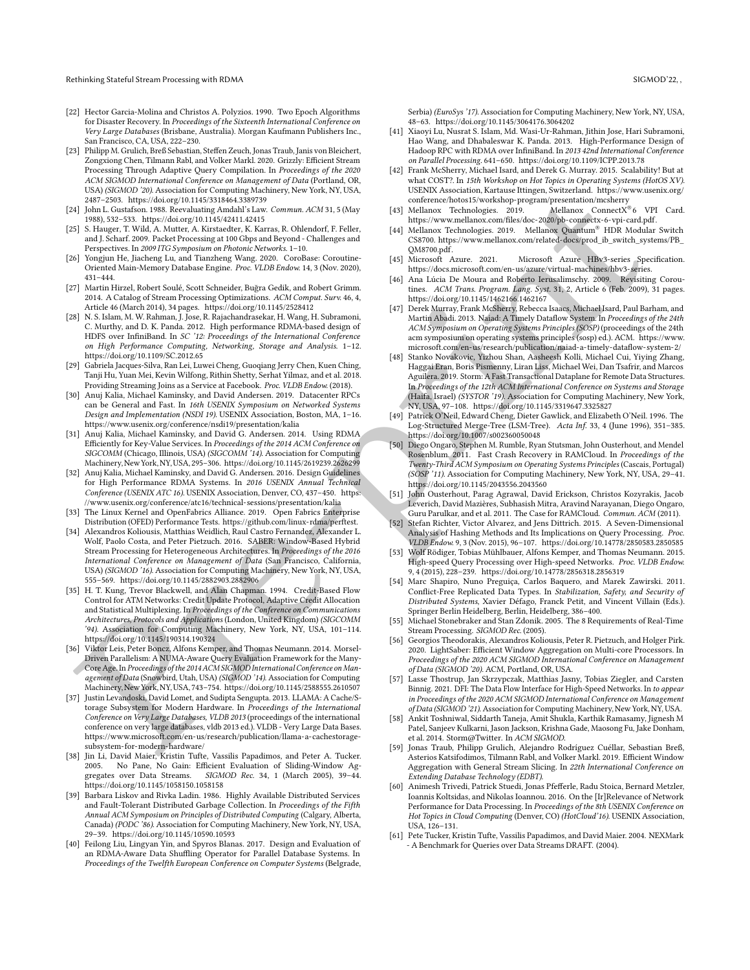- <span id="page-14-18"></span>[22] Hector Garcia-Molina and Christos A. Polyzios. 1990. Two Epoch Algorithms for Disaster Recovery. In Proceedings of the Sixteenth International Conference on Very Large Databases (Brisbane, Australia). Morgan Kaufmann Publishers Inc., San Francisco, CA, USA, 222–230.
- <span id="page-14-14"></span>[23] Philipp M. Grulich, Breß Sebastian, Steffen Zeuch, Jonas Traub, Janis von Bleichert, Zongxiong Chen, Tilmann Rabl, and Volker Markl. 2020. Grizzly: Efficient Stream Processing Through Adaptive Query Compilation. In Proceedings of the 2020 ACM SIGMOD International Conference on Management of Data (Portland, OR, USA) (SIGMOD '20). Association for Computing Machinery, New York, NY, USA, 2487–2503. https://doi.org/10.1145/3318464.3389739
- <span id="page-14-30"></span>[24] John L. Gustafson. 1988. Reevaluating Amdahl's Law. Commun. ACM 31, 5 (May 1988), 532–533. https://doi.org/10.1145/42411.42415
- <span id="page-14-0"></span>[25] S. Hauger, T. Wild, A. Mutter, A. Kirstaedter, K. Karras, R. Ohlendorf, F. Feller, and J. Scharf. 2009. Packet Processing at 100 Gbps and Beyond - Challenges and Perspectives. In 2009 ITG Symposium on Photonic Networks. 1–10.
- <span id="page-14-23"></span>[26] Yongjun He, Jiacheng Lu, and Tianzheng Wang. 2020. CoroBase: Coroutine-Oriented Main-Memory Database Engine. Proc. VLDB Endow. 14, 3 (Nov. 2020), 431–444.
- <span id="page-14-10"></span>[27] Martin Hirzel, Robert Soulé, Scott Schneider, Buğra Gedik, and Robert Grimm. 2014. A Catalog of Stream Processing Optimizations. ACM Comput. Surv. 46, 4, Article 46 (March 2014), 34 pages. https://doi.org/10.1145/2528412
- <span id="page-14-34"></span>[28] N. S. Islam, M. W. Rahman, J. Jose, R. Rajachandrasekar, H. Wang, H. Subramoni, C. Murthy, and D. K. Panda. 2012. High performance RDMA-based design of HDFS over InfiniBand. In SC '12: Proceedings of the International Conference on High Performance Computing, Networking, Storage and Analysis. 1–12. https://doi.org/10.1109/SC.2012.65
- <span id="page-14-37"></span>[29] Gabriela Jacques-Silva, Ran Lei, Luwei Cheng, Guoqiang Jerry Chen, Kuen Ching, Tanji Hu, Yuan Mei, Kevin Wilfong, Rithin Shetty, Serhat Yilmaz, and et al. 2018. Providing Streaming Joins as a Service at Facebook. Proc. VLDB Endow. (2018).
- <span id="page-14-9"></span>[30] Anuj Kalia, Michael Kaminsky, and David Andersen. 2019. Datacenter RPCs can be General and Fast. In 16th USENIX Symposium on Networked Systems Design and Implementation (NSDI 19). USENIX Association, Boston, MA, 1–16. https://www.usenix.org/conference/nsdi19/presentation/kalia
- <span id="page-14-6"></span>[31] Anuj Kalia, Michael Kaminsky, and David G. Andersen. 2014. Using RDMA Efficiently for Key-Value Services. In Proceedings of the 2014 ACM Conference on SIGCOMM (Chicago, Illinois, USA) (SIGCOMM '14). Association for Computing Machinery,New York,NY,USA, 295–306. https://doi.org/10.1145/2619239.2626299
- <span id="page-14-12"></span>[32] Anuj Kalia, Michael Kaminsky, and David G. Andersen. 2016. Design Guidelines for High Performance RDMA Systems. In 2016 USENIX Annual Technical Conference (USENIX ATC 16). USENIX Association, Denver, CO, 437–450. https: //www.usenix.org/conference/atc16/technical-sessions/presentation/kalia
- <span id="page-14-32"></span>[33] The Linux Kernel and OpenFabrics Alliance. 2019. Open Fabrics Enterprise Distribution (OFED) Performance Tests. https://github.com/linux-rdma/perftest.
- <span id="page-14-39"></span>[34] Alexandros Koliousis, Matthias Weidlich, Raul Castro Fernandez, Alexander L. Wolf, Paolo Costa, and Peter Pietzuch. 2016. SABER: Window-Based Hybrid Stream Processing for Heterogeneous Architectures. In Proceedings of the 2016 International Conference on Management of Data (San Francisco, California, USA) (SIGMOD '16). Association for Computing Machinery, New York, NY, USA, 555–569. https://doi.org/10.1145/2882903.2882906
- <span id="page-14-24"></span>[35] H. T. Kung, Trevor Blackwell, and Alan Chapman. 1994. Credit-Based Flow Control for ATM Networks: Credit Update Protocol, Adaptive Credit Allocation and Statistical Multiplexing. In Proceedings of the Conference on Communications Architectures, Protocols and Applications (London, United Kingdom) (SIGCOMM '94). Association for Computing Machinery, New York, NY, USA, 101–114. https://doi.org/10.1145/190314.190324
- <span id="page-14-25"></span><span id="page-14-16"></span>[36] Viktor Leis, Peter Boncz, Alfons Kemper, and Thomas Neumann. 2014. Morsel-Driven Parallelism: A NUMA-Aware Query Evaluation Framework for the Many-Core Age.In Proceedings of the 2014 ACM SIGMOD International Conference on Management of Data (Snowbird, Utah, USA) (SIGMOD '14). Association for Computing Machinery,New York,NY,USA, 743–754. https://doi.org/10.1145/2588555.2610507
- 2003 [-](https://github.com/linux-rdma/perftest) 230. Το τελευτικό της παρακτικό των προσφαλεικο των προσφαλεικο των προσφαλεικο των προσφαλεικο των προσφαλεικο των προσφαλεικο των προσφαλεικο των προσφαλεικο των προσφαλεικο των προσφαλεικο των προσφαλεικο των [37] Justin Levandoski, David Lomet, and Sudipta Sengupta. 2013. LLAMA: A Cache/Storage Subsystem for Modern Hardware. In Proceedings of the International Conference on Very Large Databases, VLDB 2013 (proceedings of the international conference on very large databases, vldb 2013 ed.). VLDB - Very Large Data Bases. https://www.microsoft.com/en-us/research/publication/llama-a-cachestoragesubsystem-for-modern-hardware/
- <span id="page-14-20"></span>[38] Jin Li, David Maier, Kristin Tufte, Vassilis Papadimos, and Peter A. Tucker. 2005. No Pane, No Gain: Efficient Evaluation of Sliding-Window Ag-<br>gregates over Data Streams. SIGMOD Rec. 34, 1 (March 2005), 39-44. SIGMOD Rec. 34, 1 (March 2005), 39-44. <https://doi.org/10.1145/1058150.1058158>
- <span id="page-14-17"></span>[39] Barbara Liskov and Rivka Ladin. 1986. Highly Available Distributed Services and Fault-Tolerant Distributed Garbage Collection. In Proceedings of the Fifth Annual ACM Symposium on Principles of Distributed Computing (Calgary, Alberta, Canada) (PODC '86). Association for Computing Machinery, New York, NY, USA, 29–39.<https://doi.org/10.1145/10590.10593>
- <span id="page-14-5"></span>[40] Feilong Liu, Lingyan Yin, and Spyros Blanas. 2017. Design and Evaluation of an RDMA-Aware Data Shuffling Operator for Parallel Database Systems. In Proceedings of the Twelfth European Conference on Computer Systems (Belgrade,

Serbia) (EuroSys '17). Association for Computing Machinery, New York, NY, USA, 48–63.<https://doi.org/10.1145/3064176.3064202>

- <span id="page-14-35"></span>[41] Xiaoyi Lu, Nusrat S. Islam, Md. Wasi-Ur-Rahman, Jithin Jose, Hari Subramoni, Hao Wang, and Dhabaleswar K. Panda. 2013. High-Performance Design of Hadoop RPC with RDMA over InfiniBand. In 2013 42nd International Conference on Parallel Processing. 641–650.<https://doi.org/10.1109/ICPP.2013.78>
- <span id="page-14-31"></span>[42] Frank McSherry, Michael Isard, and Derek G. Murray. 2015. Scalability! But at what COST?. In 15th Workshop on Hot Topics in Operating Systems (HotOS XV). USENIX Association, Kartause Ittingen, Switzerland. [https://www.usenix.org/](https://www.usenix.org/conference/hotos15/workshop-program/presentation/mcsherry) conference/hotos15/workshop-program/presentation/mcsherry
- <span id="page-14-2"></span>[43] Mellanox Technologies. 2019. Mellanox ConnectX®6 VPI Card. https://www.mellanox.com/files/doc-2020/pb-connectx-6-vpi-card.pdf.
- <span id="page-14-3"></span>[44] Mellanox Technologies. 2019. Mellanox Quantum® HDR Modular Switch CS8700. [https://www.mellanox.com/related-docs/prod\\_ib\\_switch\\_systems/PB\\_](https://www.mellanox.com/related-docs/prod_ib_switch_systems/PB_QM8700.pdf) QM8700.pdf.
- <span id="page-14-1"></span>[45] Microsoft Azure. 2021. Microsoft Azure HBv3-series Specification. https://docs.microsoft.com/en-us/azure/virtual-machines/hbv3-series.
- <span id="page-14-22"></span>[46] Ana Lúcia De Moura and Roberto Ierusalimschy. 2009. Revisiting Coroutines. ACM Trans. Program. Lang. Syst. 31, 2, Article 6 (Feb. 2009), 31 pages. https://doi.org/10.1145/1462166.1462167
- <span id="page-14-8"></span>[47] Derek Murray, Frank McSherry, Rebecca Isaacs, Michael Isard, Paul Barham, and Martin Abadi. 2013. Naiad: A Timely Dataflow System. In Proceedings of the 24th ACM Symposium on Operating Systems Principles (SOSP) (proceedings of the 24th acm symposium on operating systems principles (sosp) ed.). ACM. [https://www.](https://www.microsoft.com/en-us/research/publication/naiad-a-timely-dataflow-system-2/) microsoft.com/en-us/research/publication/naiad-a-timely-dataflow-system-2/
- <span id="page-14-15"></span>[48] Stanko Novakovic, Yizhou Shan, Aasheesh Kolli, Michael Cui, Yiying Zhang, Haggai Eran, Boris Pismenny, Liran Liss, Michael Wei, Dan Tsafrir, and Marcos Aguilera. 2019. Storm: A Fast Transactional Dataplane for Remote Data Structures. In Proceedings of the 12th ACM International Conference on Systems and Storage (Haifa, Israel) (SYSTOR '19). Association for Computing Machinery, New York, NY, USA, 97–108. https://doi.org/10.1145/3319647.3325827
- <span id="page-14-26"></span>[49] Patrick O'Neil, Edward Cheng, Dieter Gawlick, and Elizabeth O'Neil. 1996. The Log-Structured Merge-Tree (LSM-Tree). Acta Inf. 33, 4 (June 1996), 351–385. https://doi.org/10.1007/s002360050048
- <span id="page-14-27"></span>[50] Diego Ongaro, Stephen M. Rumble, Ryan Stutsman, John Ousterhout, and Mendel Rosenblum. 2011. Fast Crash Recovery in RAMCloud. In Proceedings of the Twenty-Third ACM Symposium on Operating Systems Principles (Cascais, Portugal) (SOSP '11). Association for Computing Machinery, New York, NY, USA, 29–41. https://doi.org/10.1145/2043556.2043560
- <span id="page-14-36"></span>[51] John Ousterhout, Parag Agrawal, David Erickson, Christos Kozyrakis, Jacob Leverich, David Mazières, Subhasish Mitra, Aravind Narayanan, Diego Ongaro, Guru Parulkar, and et al. 2011. The Case for RAMCloud. Commun. ACM (2011).
- <span id="page-14-28"></span>[52] Stefan Richter, Victor Alvarez, and Jens Dittrich. 2015. A Seven-Dimensional Analysis of Hashing Methods and Its Implications on Query Processing. Proc. VLDB Endow. 9, 3 (Nov. 2015), 96–107.<https://doi.org/10.14778/2850583.2850585>
- <span id="page-14-11"></span>[53] Wolf Rödiger, Tobias Mühlbauer, Alfons Kemper, and Thomas Neumann. 2015. High-speed Query Processing over High-speed Networks. Proc. VLDB Endow. 9, 4 (2015), 228–239. https://doi.org/10.14778/2856318.2856319
- <span id="page-14-19"></span>[54] Marc Shapiro, Nuno Preguiça, Carlos Baquero, and Marek Zawirski. 2011. Conflict-Free Replicated Data Types. In Stabilization, Safety, and Security of Distributed Systems, Xavier Défago, Franck Petit, and Vincent Villain (Eds.). Springer Berlin Heidelberg, Berlin, Heidelberg, 386–400.
- <span id="page-14-38"></span>[55] Michael Stonebraker and Stan Zdonik. 2005. The 8 Requirements of Real-Time Stream Processing. SIGMOD Rec. (2005).
- <span id="page-14-13"></span>[56] Georgios Theodorakis, Alexandros Koliousis, Peter R. Pietzuch, and Holger Pirk. 2020. LightSaber: Efficient Window Aggregation on Multi-core Processors. In Proceedings of the 2020 ACM SIGMOD International Conference on Management of Data (SIGMOD '20). ACM, Portland, OR, USA.
- <span id="page-14-33"></span>[57] Lasse Thostrup, Jan Skrzypczak, Matthias Jasny, Tobias Ziegler, and Carsten Binnig. 2021. DFI: The Data Flow Interface for High-Speed Networks. In to appear in Proceedings of the 2020 ACM SIGMOD International Conference on Management of Data (SIGMOD '21). Association for Computing Machinery, New York, NY, USA.
- <span id="page-14-7"></span>[58] Ankit Toshniwal, Siddarth Taneja, Amit Shukla, Karthik Ramasamy, Jignesh M Patel, Sanjeev Kulkarni, Jason Jackson, Krishna Gade, Maosong Fu, Jake Donham, et al. 2014. Storm@Twitter. In ACM SIGMOD.
- <span id="page-14-21"></span>[59] Jonas Traub, Philipp Grulich, Alejandro Rodríguez Cuéllar, Sebastian Breß, Asterios Katsifodimos, Tilmann Rabl, and Volker Markl. 2019. Efficient Window Aggregation with General Stream Slicing. In 22th International Conference on Extending Database Technology (EDBT).
- <span id="page-14-4"></span>[60] Animesh Trivedi, Patrick Stuedi, Jonas Pfefferle, Radu Stoica, Bernard Metzler, Ioannis Koltsidas, and Nikolas Ioannou. 2016. On the [Ir]Relevance of Network Performance for Data Processing. In Proceedings of the 8th USENIX Conference on Hot Topics in Cloud Computing (Denver, CO) (HotCloud'16). USENIX Association, USA, 126–131.
- <span id="page-14-29"></span>[61] Pete Tucker, Kristin Tufte, Vassilis Papadimos, and David Maier. 2004. NEXMark - A Benchmark for Queries over Data Streams DRAFT. (2004).